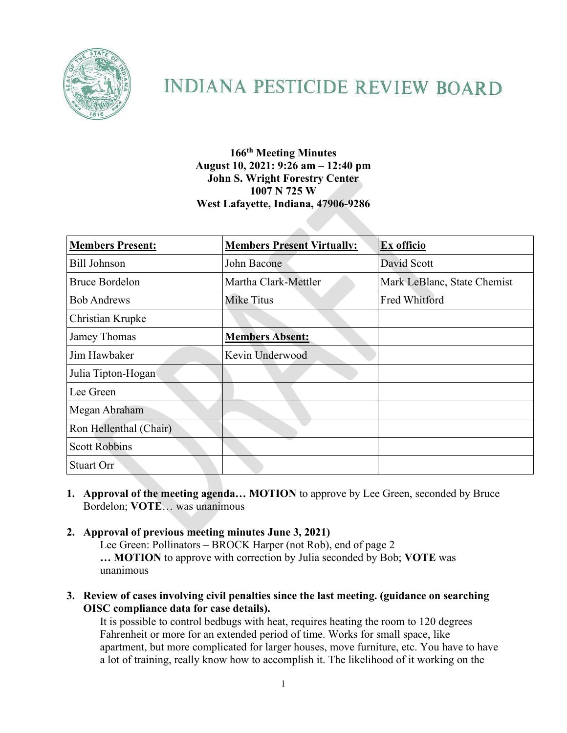

# **INDIANA PESTICIDE REVIEW BOARD**

## **166th Meeting Minutes August 10, 2021: 9:26 am – 12:40 pm John S. Wright Forestry Center 1007 N 725 W West Lafayette, Indiana, 47906-9286**

| <b>Members Present:</b> | <b>Members Present Virtually:</b> | Ex officio                  |
|-------------------------|-----------------------------------|-----------------------------|
| <b>Bill Johnson</b>     | John Bacone                       | David Scott                 |
| <b>Bruce Bordelon</b>   | Martha Clark-Mettler              | Mark LeBlanc, State Chemist |
| <b>Bob Andrews</b>      | Mike Titus                        | Fred Whitford               |
| Christian Krupke        |                                   |                             |
| Jamey Thomas            | <b>Members Absent:</b>            |                             |
| Jim Hawbaker            | Kevin Underwood                   |                             |
| Julia Tipton-Hogan      |                                   |                             |
| Lee Green               |                                   |                             |
| Megan Abraham           |                                   |                             |
| Ron Hellenthal (Chair)  |                                   |                             |
| <b>Scott Robbins</b>    |                                   |                             |
| <b>Stuart Orr</b>       |                                   |                             |

**1. Approval of the meeting agenda… MOTION** to approve by Lee Green, seconded by Bruce Bordelon; **VOTE**… was unanimous

### **2. Approval of previous meeting minutes June 3, 2021)**

Lee Green: Pollinators – BROCK Harper (not Rob), end of page 2 **… MOTION** to approve with correction by Julia seconded by Bob; **VOTE** was unanimous

**3. Review of cases involving civil penalties since the last meeting. (guidance on searching OISC compliance data for case details).**

It is possible to control bedbugs with heat, requires heating the room to 120 degrees Fahrenheit or more for an extended period of time. Works for small space, like apartment, but more complicated for larger houses, move furniture, etc. You have to have a lot of training, really know how to accomplish it. The likelihood of it working on the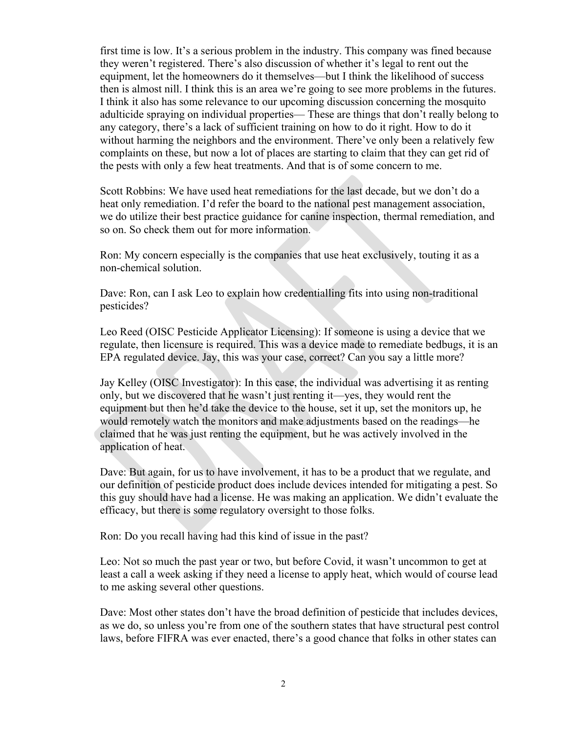first time is low. It's a serious problem in the industry. This company was fined because they weren't registered. There's also discussion of whether it's legal to rent out the equipment, let the homeowners do it themselves—but I think the likelihood of success then is almost nill. I think this is an area we're going to see more problems in the futures. I think it also has some relevance to our upcoming discussion concerning the mosquito adulticide spraying on individual properties— These are things that don't really belong to any category, there's a lack of sufficient training on how to do it right. How to do it without harming the neighbors and the environment. There've only been a relatively few complaints on these, but now a lot of places are starting to claim that they can get rid of the pests with only a few heat treatments. And that is of some concern to me.

Scott Robbins: We have used heat remediations for the last decade, but we don't do a heat only remediation. I'd refer the board to the national pest management association, we do utilize their best practice guidance for canine inspection, thermal remediation, and so on. So check them out for more information.

Ron: My concern especially is the companies that use heat exclusively, touting it as a non-chemical solution.

Dave: Ron, can I ask Leo to explain how credentialling fits into using non-traditional pesticides?

Leo Reed (OISC Pesticide Applicator Licensing): If someone is using a device that we regulate, then licensure is required. This was a device made to remediate bedbugs, it is an EPA regulated device. Jay, this was your case, correct? Can you say a little more?

Jay Kelley (OISC Investigator): In this case, the individual was advertising it as renting only, but we discovered that he wasn't just renting it—yes, they would rent the equipment but then he'd take the device to the house, set it up, set the monitors up, he would remotely watch the monitors and make adjustments based on the readings—he claimed that he was just renting the equipment, but he was actively involved in the application of heat.

Dave: But again, for us to have involvement, it has to be a product that we regulate, and our definition of pesticide product does include devices intended for mitigating a pest. So this guy should have had a license. He was making an application. We didn't evaluate the efficacy, but there is some regulatory oversight to those folks.

Ron: Do you recall having had this kind of issue in the past?

Leo: Not so much the past year or two, but before Covid, it wasn't uncommon to get at least a call a week asking if they need a license to apply heat, which would of course lead to me asking several other questions.

Dave: Most other states don't have the broad definition of pesticide that includes devices, as we do, so unless you're from one of the southern states that have structural pest control laws, before FIFRA was ever enacted, there's a good chance that folks in other states can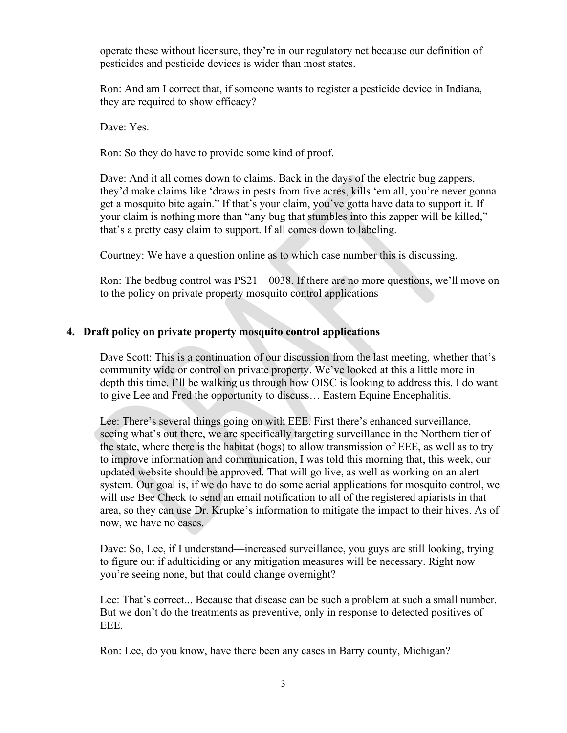operate these without licensure, they're in our regulatory net because our definition of pesticides and pesticide devices is wider than most states.

Ron: And am I correct that, if someone wants to register a pesticide device in Indiana, they are required to show efficacy?

Dave: Yes.

Ron: So they do have to provide some kind of proof.

Dave: And it all comes down to claims. Back in the days of the electric bug zappers, they'd make claims like 'draws in pests from five acres, kills 'em all, you're never gonna get a mosquito bite again." If that's your claim, you've gotta have data to support it. If your claim is nothing more than "any bug that stumbles into this zapper will be killed," that's a pretty easy claim to support. If all comes down to labeling.

Courtney: We have a question online as to which case number this is discussing.

Ron: The bedbug control was  $PS21 - 0038$ . If there are no more questions, we'll move on to the policy on private property mosquito control applications

### **4. Draft policy on private property mosquito control applications**

Dave Scott: This is a continuation of our discussion from the last meeting, whether that's community wide or control on private property. We've looked at this a little more in depth this time. I'll be walking us through how OISC is looking to address this. I do want to give Lee and Fred the opportunity to discuss… Eastern Equine Encephalitis.

Lee: There's several things going on with EEE. First there's enhanced surveillance, seeing what's out there, we are specifically targeting surveillance in the Northern tier of the state, where there is the habitat (bogs) to allow transmission of EEE, as well as to try to improve information and communication, I was told this morning that, this week, our updated website should be approved. That will go live, as well as working on an alert system. Our goal is, if we do have to do some aerial applications for mosquito control, we will use Bee Check to send an email notification to all of the registered apiarists in that area, so they can use Dr. Krupke's information to mitigate the impact to their hives. As of now, we have no cases.

Dave: So, Lee, if I understand—increased surveillance, you guys are still looking, trying to figure out if adulticiding or any mitigation measures will be necessary. Right now you're seeing none, but that could change overnight?

Lee: That's correct... Because that disease can be such a problem at such a small number. But we don't do the treatments as preventive, only in response to detected positives of EEE.

Ron: Lee, do you know, have there been any cases in Barry county, Michigan?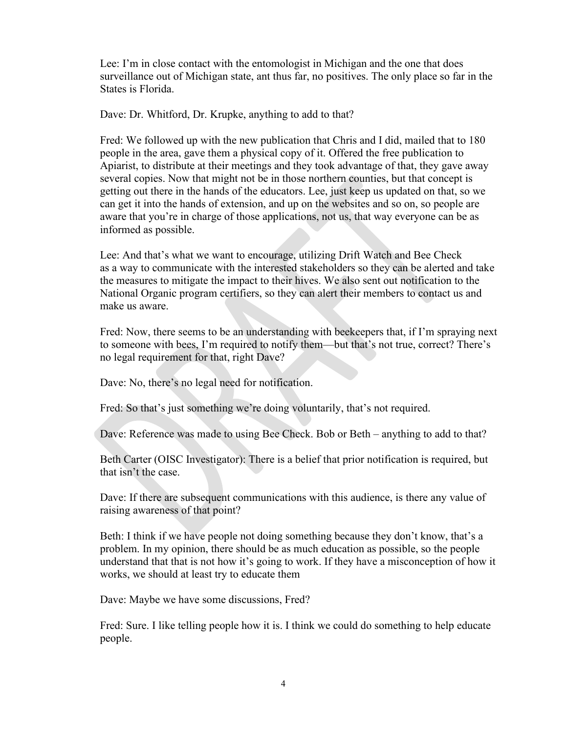Lee: I'm in close contact with the entomologist in Michigan and the one that does surveillance out of Michigan state, ant thus far, no positives. The only place so far in the States is Florida.

Dave: Dr. Whitford, Dr. Krupke, anything to add to that?

Fred: We followed up with the new publication that Chris and I did, mailed that to 180 people in the area, gave them a physical copy of it. Offered the free publication to Apiarist, to distribute at their meetings and they took advantage of that, they gave away several copies. Now that might not be in those northern counties, but that concept is getting out there in the hands of the educators. Lee, just keep us updated on that, so we can get it into the hands of extension, and up on the websites and so on, so people are aware that you're in charge of those applications, not us, that way everyone can be as informed as possible.

Lee: And that's what we want to encourage, utilizing Drift Watch and Bee Check as a way to communicate with the interested stakeholders so they can be alerted and take the measures to mitigate the impact to their hives. We also sent out notification to the National Organic program certifiers, so they can alert their members to contact us and make us aware.

Fred: Now, there seems to be an understanding with beekeepers that, if I'm spraying next to someone with bees, I'm required to notify them—but that's not true, correct? There's no legal requirement for that, right Dave?

Dave: No, there's no legal need for notification.

Fred: So that's just something we're doing voluntarily, that's not required.

Dave: Reference was made to using Bee Check. Bob or Beth – anything to add to that?

Beth Carter (OISC Investigator): There is a belief that prior notification is required, but that isn't the case.

Dave: If there are subsequent communications with this audience, is there any value of raising awareness of that point?

Beth: I think if we have people not doing something because they don't know, that's a problem. In my opinion, there should be as much education as possible, so the people understand that that is not how it's going to work. If they have a misconception of how it works, we should at least try to educate them

Dave: Maybe we have some discussions, Fred?

Fred: Sure. I like telling people how it is. I think we could do something to help educate people.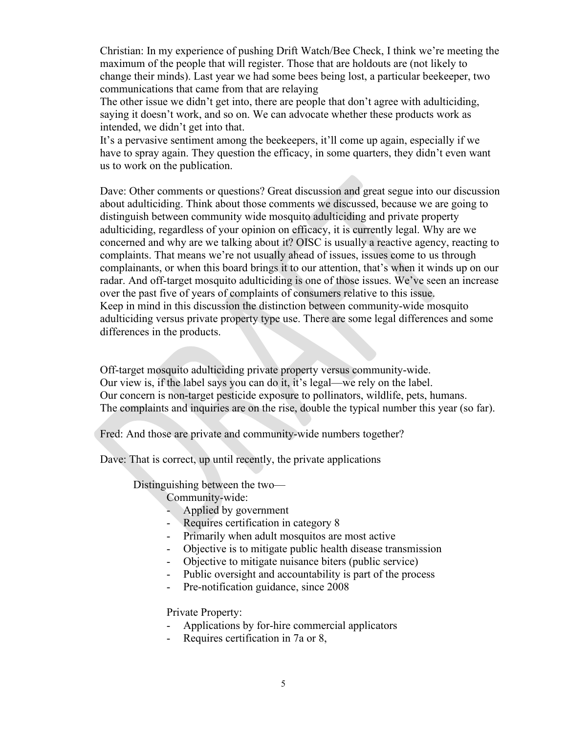Christian: In my experience of pushing Drift Watch/Bee Check, I think we're meeting the maximum of the people that will register. Those that are holdouts are (not likely to change their minds). Last year we had some bees being lost, a particular beekeeper, two communications that came from that are relaying

The other issue we didn't get into, there are people that don't agree with adulticiding, saying it doesn't work, and so on. We can advocate whether these products work as intended, we didn't get into that.

It's a pervasive sentiment among the beekeepers, it'll come up again, especially if we have to spray again. They question the efficacy, in some quarters, they didn't even want us to work on the publication.

Dave: Other comments or questions? Great discussion and great segue into our discussion about adulticiding. Think about those comments we discussed, because we are going to distinguish between community wide mosquito adulticiding and private property adulticiding, regardless of your opinion on efficacy, it is currently legal. Why are we concerned and why are we talking about it? OISC is usually a reactive agency, reacting to complaints. That means we're not usually ahead of issues, issues come to us through complainants, or when this board brings it to our attention, that's when it winds up on our radar. And off-target mosquito adulticiding is one of those issues. We've seen an increase over the past five of years of complaints of consumers relative to this issue. Keep in mind in this discussion the distinction between community-wide mosquito adulticiding versus private property type use. There are some legal differences and some differences in the products.

Off-target mosquito adulticiding private property versus community-wide. Our view is, if the label says you can do it, it's legal—we rely on the label. Our concern is non-target pesticide exposure to pollinators, wildlife, pets, humans. The complaints and inquiries are on the rise, double the typical number this year (so far).

Fred: And those are private and community-wide numbers together?

Dave: That is correct, up until recently, the private applications

Distinguishing between the two—

Community-wide:

- Applied by government
- Requires certification in category 8
- Primarily when adult mosquitos are most active
- Objective is to mitigate public health disease transmission
- Objective to mitigate nuisance biters (public service)
- Public oversight and accountability is part of the process
- Pre-notification guidance, since 2008

Private Property:

- Applications by for-hire commercial applicators
- Requires certification in 7a or 8,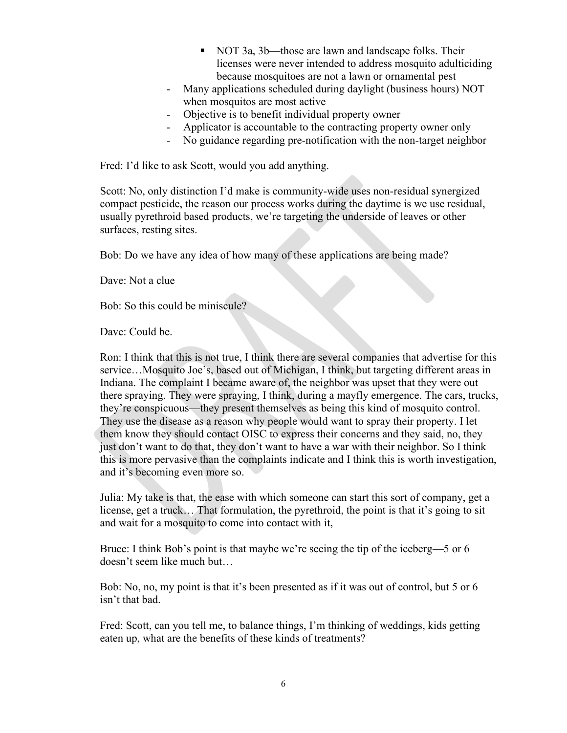- NOT 3a, 3b—those are lawn and landscape folks. Their licenses were never intended to address mosquito adulticiding because mosquitoes are not a lawn or ornamental pest
- Many applications scheduled during daylight (business hours) NOT when mosquitos are most active
- Objective is to benefit individual property owner
- Applicator is accountable to the contracting property owner only
- No guidance regarding pre-notification with the non-target neighbor

Fred: I'd like to ask Scott, would you add anything.

Scott: No, only distinction I'd make is community-wide uses non-residual synergized compact pesticide, the reason our process works during the daytime is we use residual, usually pyrethroid based products, we're targeting the underside of leaves or other surfaces, resting sites.

Bob: Do we have any idea of how many of these applications are being made?

Dave: Not a clue

Bob: So this could be miniscule?

Dave: Could be.

Ron: I think that this is not true, I think there are several companies that advertise for this service…Mosquito Joe's, based out of Michigan, I think, but targeting different areas in Indiana. The complaint I became aware of, the neighbor was upset that they were out there spraying. They were spraying, I think, during a mayfly emergence. The cars, trucks, they're conspicuous—they present themselves as being this kind of mosquito control. They use the disease as a reason why people would want to spray their property. I let them know they should contact OISC to express their concerns and they said, no, they just don't want to do that, they don't want to have a war with their neighbor. So I think this is more pervasive than the complaints indicate and I think this is worth investigation, and it's becoming even more so.

Julia: My take is that, the ease with which someone can start this sort of company, get a license, get a truck… That formulation, the pyrethroid, the point is that it's going to sit and wait for a mosquito to come into contact with it,

Bruce: I think Bob's point is that maybe we're seeing the tip of the iceberg—5 or 6 doesn't seem like much but…

Bob: No, no, my point is that it's been presented as if it was out of control, but 5 or 6 isn't that bad.

Fred: Scott, can you tell me, to balance things, I'm thinking of weddings, kids getting eaten up, what are the benefits of these kinds of treatments?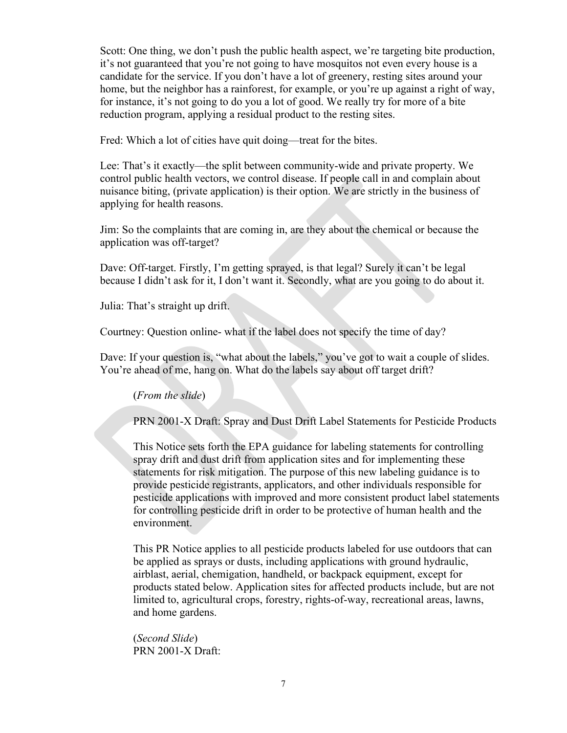Scott: One thing, we don't push the public health aspect, we're targeting bite production, it's not guaranteed that you're not going to have mosquitos not even every house is a candidate for the service. If you don't have a lot of greenery, resting sites around your home, but the neighbor has a rainforest, for example, or you're up against a right of way, for instance, it's not going to do you a lot of good. We really try for more of a bite reduction program, applying a residual product to the resting sites.

Fred: Which a lot of cities have quit doing—treat for the bites.

Lee: That's it exactly—the split between community-wide and private property. We control public health vectors, we control disease. If people call in and complain about nuisance biting, (private application) is their option. We are strictly in the business of applying for health reasons.

Jim: So the complaints that are coming in, are they about the chemical or because the application was off-target?

Dave: Off-target. Firstly, I'm getting sprayed, is that legal? Surely it can't be legal because I didn't ask for it, I don't want it. Secondly, what are you going to do about it.

Julia: That's straight up drift.

Courtney: Question online- what if the label does not specify the time of day?

Dave: If your question is, "what about the labels," you've got to wait a couple of slides. You're ahead of me, hang on. What do the labels say about off target drift?

#### (*From the slide*)

PRN 2001-X Draft: Spray and Dust Drift Label Statements for Pesticide Products

This Notice sets forth the EPA guidance for labeling statements for controlling spray drift and dust drift from application sites and for implementing these statements for risk mitigation. The purpose of this new labeling guidance is to provide pesticide registrants, applicators, and other individuals responsible for pesticide applications with improved and more consistent product label statements for controlling pesticide drift in order to be protective of human health and the environment.

This PR Notice applies to all pesticide products labeled for use outdoors that can be applied as sprays or dusts, including applications with ground hydraulic, airblast, aerial, chemigation, handheld, or backpack equipment, except for products stated below. Application sites for affected products include, but are not limited to, agricultural crops, forestry, rights-of-way, recreational areas, lawns, and home gardens.

(*Second Slide*) PRN 2001-X Draft: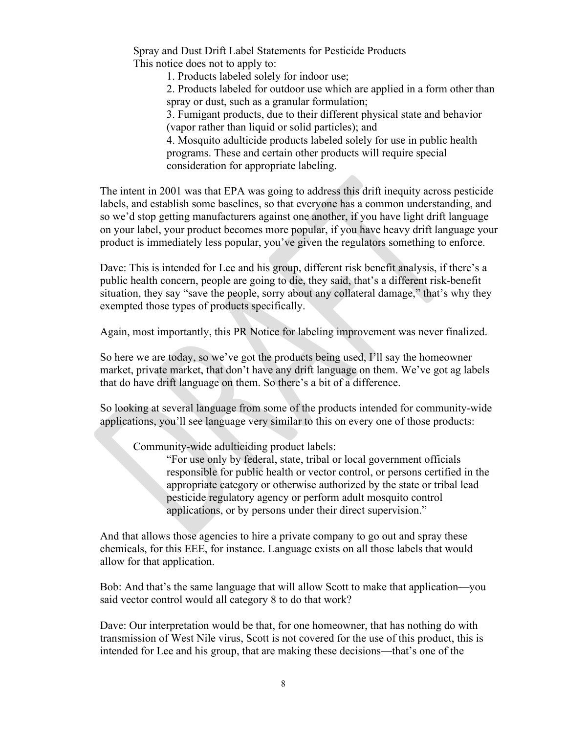Spray and Dust Drift Label Statements for Pesticide Products This notice does not to apply to:

1. Products labeled solely for indoor use;

2. Products labeled for outdoor use which are applied in a form other than spray or dust, such as a granular formulation;

3. Fumigant products, due to their different physical state and behavior (vapor rather than liquid or solid particles); and

4. Mosquito adulticide products labeled solely for use in public health programs. These and certain other products will require special consideration for appropriate labeling.

The intent in 2001 was that EPA was going to address this drift inequity across pesticide labels, and establish some baselines, so that everyone has a common understanding, and so we'd stop getting manufacturers against one another, if you have light drift language on your label, your product becomes more popular, if you have heavy drift language your product is immediately less popular, you've given the regulators something to enforce.

Dave: This is intended for Lee and his group, different risk benefit analysis, if there's a public health concern, people are going to die, they said, that's a different risk-benefit situation, they say "save the people, sorry about any collateral damage," that's why they exempted those types of products specifically.

Again, most importantly, this PR Notice for labeling improvement was never finalized.

So here we are today, so we've got the products being used, I'll say the homeowner market, private market, that don't have any drift language on them. We've got ag labels that do have drift language on them. So there's a bit of a difference.

So looking at several language from some of the products intended for community-wide applications, you'll see language very similar to this on every one of those products:

Community-wide adulticiding product labels:

"For use only by federal, state, tribal or local government officials responsible for public health or vector control, or persons certified in the appropriate category or otherwise authorized by the state or tribal lead pesticide regulatory agency or perform adult mosquito control applications, or by persons under their direct supervision."

And that allows those agencies to hire a private company to go out and spray these chemicals, for this EEE, for instance. Language exists on all those labels that would allow for that application.

Bob: And that's the same language that will allow Scott to make that application—you said vector control would all category 8 to do that work?

Dave: Our interpretation would be that, for one homeowner, that has nothing do with transmission of West Nile virus, Scott is not covered for the use of this product, this is intended for Lee and his group, that are making these decisions—that's one of the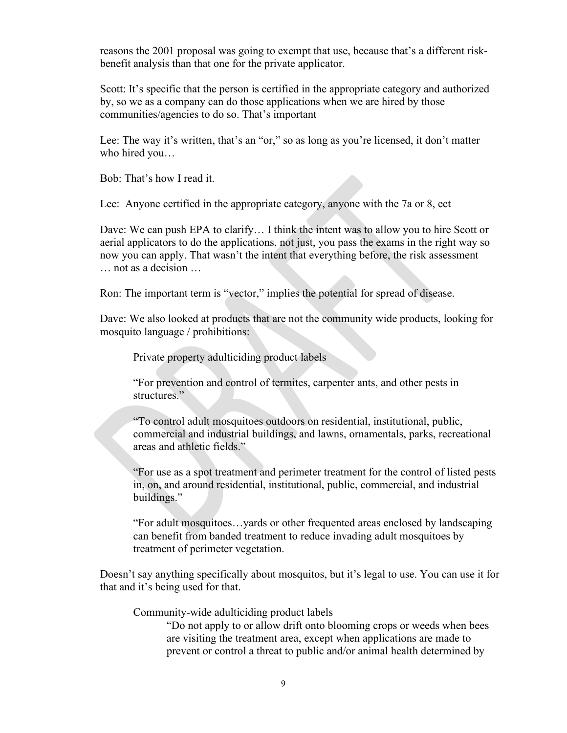reasons the 2001 proposal was going to exempt that use, because that's a different riskbenefit analysis than that one for the private applicator.

Scott: It's specific that the person is certified in the appropriate category and authorized by, so we as a company can do those applications when we are hired by those communities/agencies to do so. That's important

Lee: The way it's written, that's an "or," so as long as you're licensed, it don't matter who hired you…

Bob: That's how I read it.

Lee: Anyone certified in the appropriate category, anyone with the 7a or 8, ect

Dave: We can push EPA to clarify… I think the intent was to allow you to hire Scott or aerial applicators to do the applications, not just, you pass the exams in the right way so now you can apply. That wasn't the intent that everything before, the risk assessment … not as a decision …

Ron: The important term is "vector," implies the potential for spread of disease.

Dave: We also looked at products that are not the community wide products, looking for mosquito language / prohibitions:

Private property adulticiding product labels

"For prevention and control of termites, carpenter ants, and other pests in structures."

"To control adult mosquitoes outdoors on residential, institutional, public, commercial and industrial buildings, and lawns, ornamentals, parks, recreational areas and athletic fields."

"For use as a spot treatment and perimeter treatment for the control of listed pests in, on, and around residential, institutional, public, commercial, and industrial buildings."

"For adult mosquitoes…yards or other frequented areas enclosed by landscaping can benefit from banded treatment to reduce invading adult mosquitoes by treatment of perimeter vegetation.

Doesn't say anything specifically about mosquitos, but it's legal to use. You can use it for that and it's being used for that.

Community-wide adulticiding product labels

"Do not apply to or allow drift onto blooming crops or weeds when bees are visiting the treatment area, except when applications are made to prevent or control a threat to public and/or animal health determined by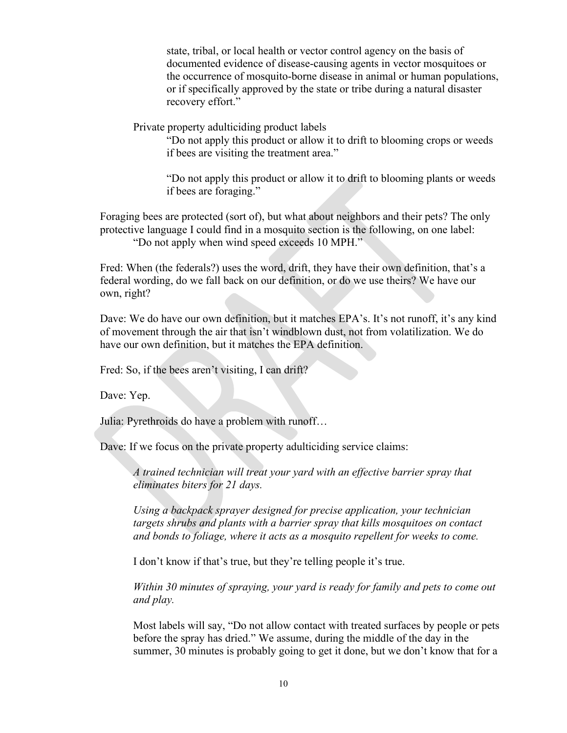state, tribal, or local health or vector control agency on the basis of documented evidence of disease-causing agents in vector mosquitoes or the occurrence of mosquito-borne disease in animal or human populations, or if specifically approved by the state or tribe during a natural disaster recovery effort."

Private property adulticiding product labels

"Do not apply this product or allow it to drift to blooming crops or weeds if bees are visiting the treatment area."

"Do not apply this product or allow it to drift to blooming plants or weeds if bees are foraging."

Foraging bees are protected (sort of), but what about neighbors and their pets? The only protective language I could find in a mosquito section is the following, on one label: "Do not apply when wind speed exceeds 10 MPH."

Fred: When (the federals?) uses the word, drift, they have their own definition, that's a federal wording, do we fall back on our definition, or do we use theirs? We have our own, right?

Dave: We do have our own definition, but it matches EPA's. It's not runoff, it's any kind of movement through the air that isn't windblown dust, not from volatilization. We do have our own definition, but it matches the EPA definition.

Fred: So, if the bees aren't visiting, I can drift?

Dave: Yep.

Julia: Pyrethroids do have a problem with runoff…

Dave: If we focus on the private property adulticiding service claims:

*A trained technician will treat your yard with an effective barrier spray that eliminates biters for 21 days.*

*Using a backpack sprayer designed for precise application, your technician targets shrubs and plants with a barrier spray that kills mosquitoes on contact and bonds to foliage, where it acts as a mosquito repellent for weeks to come.*

I don't know if that's true, but they're telling people it's true.

*Within 30 minutes of spraying, your yard is ready for family and pets to come out and play.*

Most labels will say, "Do not allow contact with treated surfaces by people or pets before the spray has dried." We assume, during the middle of the day in the summer, 30 minutes is probably going to get it done, but we don't know that for a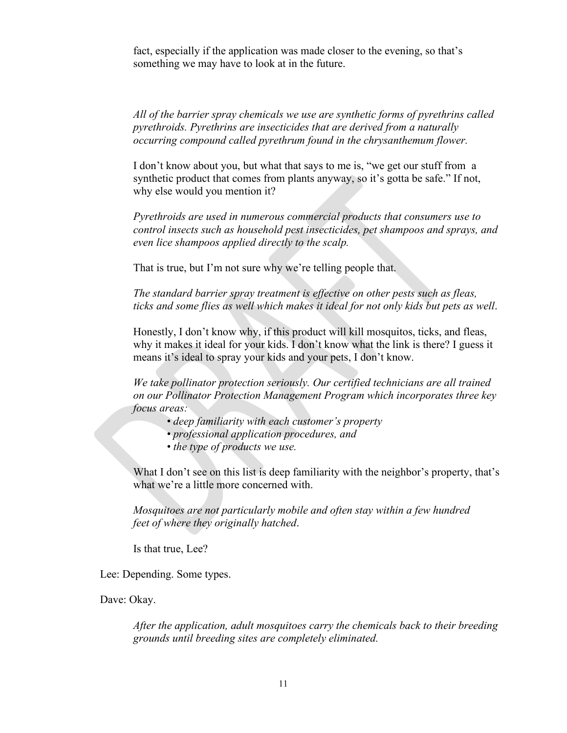fact, especially if the application was made closer to the evening, so that's something we may have to look at in the future.

*All of the barrier spray chemicals we use are synthetic forms of pyrethrins called pyrethroids. Pyrethrins are insecticides that are derived from a naturally occurring compound called pyrethrum found in the chrysanthemum flower.*

I don't know about you, but what that says to me is, "we get our stuff from a synthetic product that comes from plants anyway, so it's gotta be safe." If not, why else would you mention it?

*Pyrethroids are used in numerous commercial products that consumers use to control insects such as household pest insecticides, pet shampoos and sprays, and even lice shampoos applied directly to the scalp.*

That is true, but I'm not sure why we're telling people that.

*The standard barrier spray treatment is effective on other pests such as fleas, ticks and some flies as well which makes it ideal for not only kids but pets as well*.

Honestly, I don't know why, if this product will kill mosquitos, ticks, and fleas, why it makes it ideal for your kids. I don't know what the link is there? I guess it means it's ideal to spray your kids and your pets, I don't know.

*We take pollinator protection seriously. Our certified technicians are all trained on our Pollinator Protection Management Program which incorporates three key focus areas:*

- *deep familiarity with each customer's property*
- *professional application procedures, and*
- *the type of products we use.*

What I don't see on this list is deep familiarity with the neighbor's property, that's what we're a little more concerned with.

*Mosquitoes are not particularly mobile and often stay within a few hundred feet of where they originally hatched*.

Is that true, Lee?

Lee: Depending. Some types.

Dave: Okay.

*After the application, adult mosquitoes carry the chemicals back to their breeding grounds until breeding sites are completely eliminated.*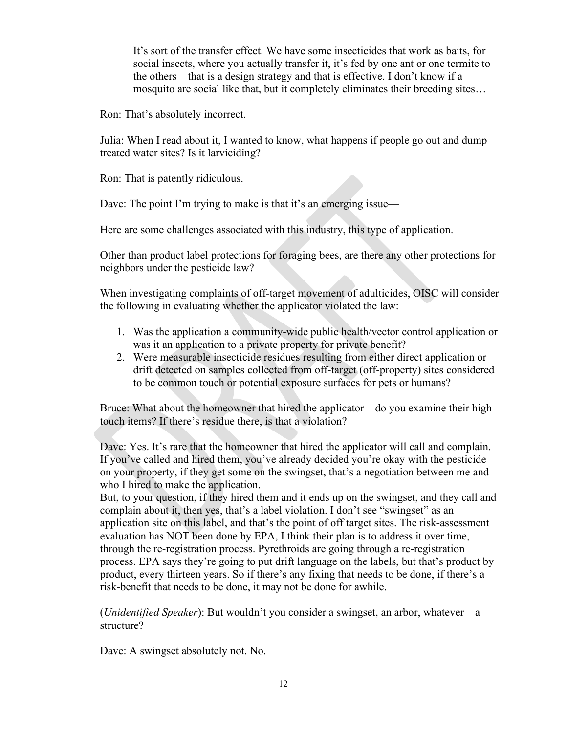It's sort of the transfer effect. We have some insecticides that work as baits, for social insects, where you actually transfer it, it's fed by one ant or one termite to the others—that is a design strategy and that is effective. I don't know if a mosquito are social like that, but it completely eliminates their breeding sites…

Ron: That's absolutely incorrect.

Julia: When I read about it, I wanted to know, what happens if people go out and dump treated water sites? Is it larviciding?

Ron: That is patently ridiculous.

Dave: The point I'm trying to make is that it's an emerging issue—

Here are some challenges associated with this industry, this type of application.

Other than product label protections for foraging bees, are there any other protections for neighbors under the pesticide law?

When investigating complaints of off-target movement of adulticides, OISC will consider the following in evaluating whether the applicator violated the law:

- 1. Was the application a community-wide public health/vector control application or was it an application to a private property for private benefit?
- 2. Were measurable insecticide residues resulting from either direct application or drift detected on samples collected from off-target (off-property) sites considered to be common touch or potential exposure surfaces for pets or humans?

Bruce: What about the homeowner that hired the applicator—do you examine their high touch items? If there's residue there, is that a violation?

Dave: Yes. It's rare that the homeowner that hired the applicator will call and complain. If you've called and hired them, you've already decided you're okay with the pesticide on your property, if they get some on the swingset, that's a negotiation between me and who I hired to make the application.

But, to your question, if they hired them and it ends up on the swingset, and they call and complain about it, then yes, that's a label violation. I don't see "swingset" as an application site on this label, and that's the point of off target sites. The risk-assessment evaluation has NOT been done by EPA, I think their plan is to address it over time, through the re-registration process. Pyrethroids are going through a re-registration process. EPA says they're going to put drift language on the labels, but that's product by product, every thirteen years. So if there's any fixing that needs to be done, if there's a risk-benefit that needs to be done, it may not be done for awhile.

(*Unidentified Speaker*): But wouldn't you consider a swingset, an arbor, whatever—a structure?

Dave: A swingset absolutely not. No.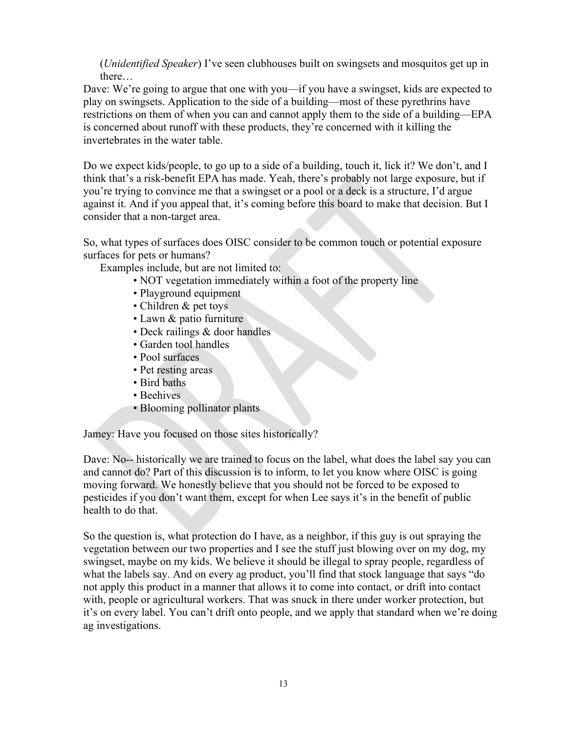(*Unidentified Speaker*) I've seen clubhouses built on swingsets and mosquitos get up in there…

Dave: We're going to argue that one with you—if you have a swingset, kids are expected to play on swingsets. Application to the side of a building—most of these pyrethrins have restrictions on them of when you can and cannot apply them to the side of a building—EPA is concerned about runoff with these products, they're concerned with it killing the invertebrates in the water table.

Do we expect kids/people, to go up to a side of a building, touch it, lick it? We don't, and I think that's a risk-benefit EPA has made. Yeah, there's probably not large exposure, but if you're trying to convince me that a swingset or a pool or a deck is a structure, I'd argue against it. And if you appeal that, it's coming before this board to make that decision. But I consider that a non-target area.

So, what types of surfaces does OISC consider to be common touch or potential exposure surfaces for pets or humans?

Examples include, but are not limited to:

- NOT vegetation immediately within a foot of the property line
- Playground equipment
- Children & pet toys
- Lawn & patio furniture
- Deck railings & door handles
- Garden tool handles
- Pool surfaces
- Pet resting areas
- Bird baths
- Beehives
- Blooming pollinator plants

Jamey: Have you focused on those sites historically?

Dave: No-- historically we are trained to focus on the label, what does the label say you can and cannot do? Part of this discussion is to inform, to let you know where OISC is going moving forward. We honestly believe that you should not be forced to be exposed to pesticides if you don't want them, except for when Lee says it's in the benefit of public health to do that.

So the question is, what protection do I have, as a neighbor, if this guy is out spraying the vegetation between our two properties and I see the stuff just blowing over on my dog, my swingset, maybe on my kids. We believe it should be illegal to spray people, regardless of what the labels say. And on every ag product, you'll find that stock language that says "do not apply this product in a manner that allows it to come into contact, or drift into contact with, people or agricultural workers. That was snuck in there under worker protection, but it's on every label. You can't drift onto people, and we apply that standard when we're doing ag investigations.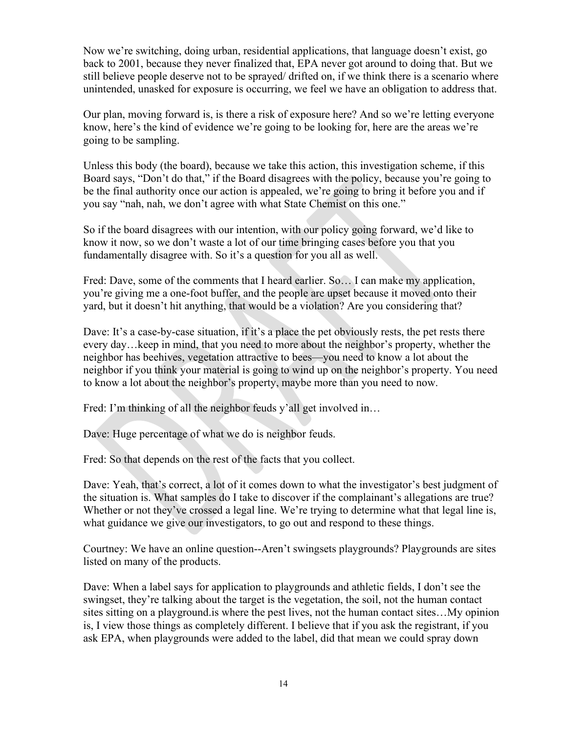Now we're switching, doing urban, residential applications, that language doesn't exist, go back to 2001, because they never finalized that, EPA never got around to doing that. But we still believe people deserve not to be sprayed/ drifted on, if we think there is a scenario where unintended, unasked for exposure is occurring, we feel we have an obligation to address that.

Our plan, moving forward is, is there a risk of exposure here? And so we're letting everyone know, here's the kind of evidence we're going to be looking for, here are the areas we're going to be sampling.

Unless this body (the board), because we take this action, this investigation scheme, if this Board says, "Don't do that," if the Board disagrees with the policy, because you're going to be the final authority once our action is appealed, we're going to bring it before you and if you say "nah, nah, we don't agree with what State Chemist on this one."

So if the board disagrees with our intention, with our policy going forward, we'd like to know it now, so we don't waste a lot of our time bringing cases before you that you fundamentally disagree with. So it's a question for you all as well.

Fred: Dave, some of the comments that I heard earlier. So… I can make my application, you're giving me a one-foot buffer, and the people are upset because it moved onto their yard, but it doesn't hit anything, that would be a violation? Are you considering that?

Dave: It's a case-by-case situation, if it's a place the pet obviously rests, the pet rests there every day…keep in mind, that you need to more about the neighbor's property, whether the neighbor has beehives, vegetation attractive to bees—you need to know a lot about the neighbor if you think your material is going to wind up on the neighbor's property. You need to know a lot about the neighbor's property, maybe more than you need to now.

Fred: I'm thinking of all the neighbor feuds y'all get involved in...

Dave: Huge percentage of what we do is neighbor feuds.

Fred: So that depends on the rest of the facts that you collect.

Dave: Yeah, that's correct, a lot of it comes down to what the investigator's best judgment of the situation is. What samples do I take to discover if the complainant's allegations are true? Whether or not they've crossed a legal line. We're trying to determine what that legal line is, what guidance we give our investigators, to go out and respond to these things.

Courtney: We have an online question--Aren't swingsets playgrounds? Playgrounds are sites listed on many of the products.

Dave: When a label says for application to playgrounds and athletic fields, I don't see the swingset, they're talking about the target is the vegetation, the soil, not the human contact sites sitting on a playground.is where the pest lives, not the human contact sites…My opinion is, I view those things as completely different. I believe that if you ask the registrant, if you ask EPA, when playgrounds were added to the label, did that mean we could spray down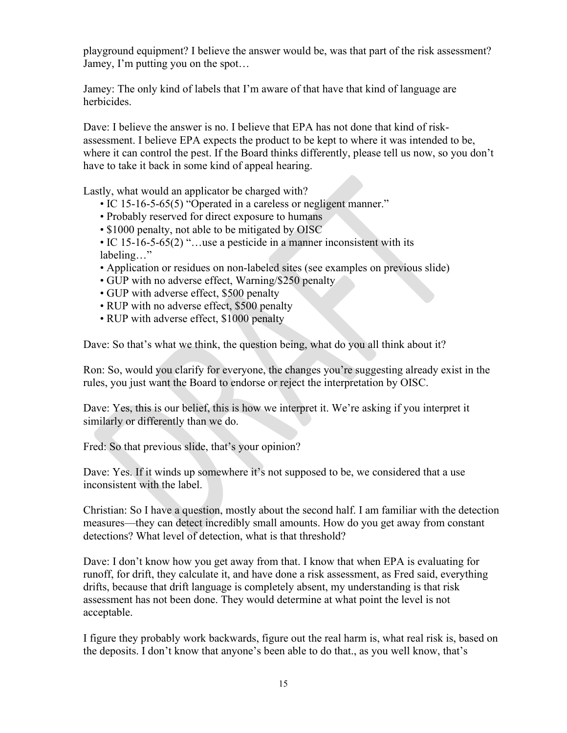playground equipment? I believe the answer would be, was that part of the risk assessment? Jamey, I'm putting you on the spot…

Jamey: The only kind of labels that I'm aware of that have that kind of language are herbicides.

Dave: I believe the answer is no. I believe that EPA has not done that kind of riskassessment. I believe EPA expects the product to be kept to where it was intended to be, where it can control the pest. If the Board thinks differently, please tell us now, so you don't have to take it back in some kind of appeal hearing.

Lastly, what would an applicator be charged with?

- IC 15-16-5-65(5) "Operated in a careless or negligent manner."
- Probably reserved for direct exposure to humans
- \$1000 penalty, not able to be mitigated by OISC
- IC 15-16-5-65(2) "...use a pesticide in a manner inconsistent with its labeling…"
- Application or residues on non-labeled sites (see examples on previous slide)
- GUP with no adverse effect, Warning/\$250 penalty
- GUP with adverse effect, \$500 penalty
- RUP with no adverse effect, \$500 penalty
- RUP with adverse effect, \$1000 penalty

Dave: So that's what we think, the question being, what do you all think about it?

Ron: So, would you clarify for everyone, the changes you're suggesting already exist in the rules, you just want the Board to endorse or reject the interpretation by OISC.

Dave: Yes, this is our belief, this is how we interpret it. We're asking if you interpret it similarly or differently than we do.

Fred: So that previous slide, that's your opinion?

Dave: Yes. If it winds up somewhere it's not supposed to be, we considered that a use inconsistent with the label.

Christian: So I have a question, mostly about the second half. I am familiar with the detection measures—they can detect incredibly small amounts. How do you get away from constant detections? What level of detection, what is that threshold?

Dave: I don't know how you get away from that. I know that when EPA is evaluating for runoff, for drift, they calculate it, and have done a risk assessment, as Fred said, everything drifts, because that drift language is completely absent, my understanding is that risk assessment has not been done. They would determine at what point the level is not acceptable.

I figure they probably work backwards, figure out the real harm is, what real risk is, based on the deposits. I don't know that anyone's been able to do that., as you well know, that's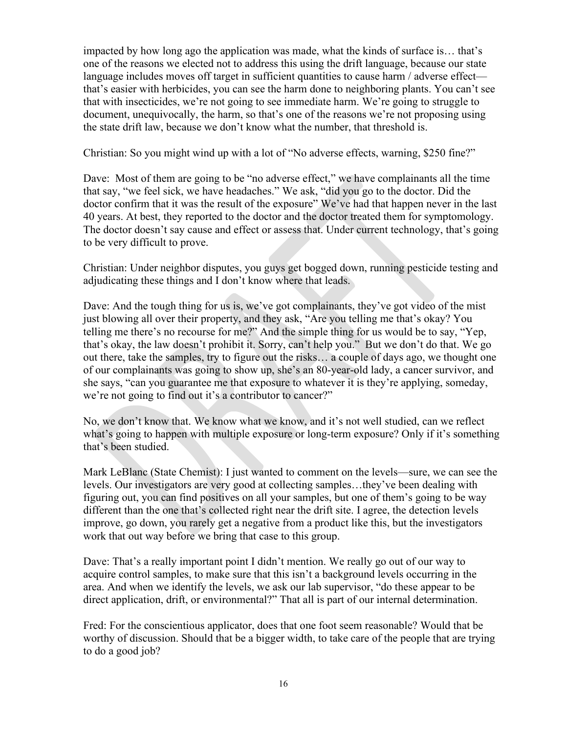impacted by how long ago the application was made, what the kinds of surface is… that's one of the reasons we elected not to address this using the drift language, because our state language includes moves off target in sufficient quantities to cause harm / adverse effect that's easier with herbicides, you can see the harm done to neighboring plants. You can't see that with insecticides, we're not going to see immediate harm. We're going to struggle to document, unequivocally, the harm, so that's one of the reasons we're not proposing using the state drift law, because we don't know what the number, that threshold is.

Christian: So you might wind up with a lot of "No adverse effects, warning, \$250 fine?"

Dave: Most of them are going to be "no adverse effect," we have complainants all the time that say, "we feel sick, we have headaches." We ask, "did you go to the doctor. Did the doctor confirm that it was the result of the exposure" We've had that happen never in the last 40 years. At best, they reported to the doctor and the doctor treated them for symptomology. The doctor doesn't say cause and effect or assess that. Under current technology, that's going to be very difficult to prove.

Christian: Under neighbor disputes, you guys get bogged down, running pesticide testing and adjudicating these things and I don't know where that leads.

Dave: And the tough thing for us is, we've got complainants, they've got video of the mist just blowing all over their property, and they ask, "Are you telling me that's okay? You telling me there's no recourse for me?" And the simple thing for us would be to say, "Yep, that's okay, the law doesn't prohibit it. Sorry, can't help you." But we don't do that. We go out there, take the samples, try to figure out the risks… a couple of days ago, we thought one of our complainants was going to show up, she's an 80-year-old lady, a cancer survivor, and she says, "can you guarantee me that exposure to whatever it is they're applying, someday, we're not going to find out it's a contributor to cancer?"

No, we don't know that. We know what we know, and it's not well studied, can we reflect what's going to happen with multiple exposure or long-term exposure? Only if it's something that's been studied.

Mark LeBlanc (State Chemist): I just wanted to comment on the levels—sure, we can see the levels. Our investigators are very good at collecting samples…they've been dealing with figuring out, you can find positives on all your samples, but one of them's going to be way different than the one that's collected right near the drift site. I agree, the detection levels improve, go down, you rarely get a negative from a product like this, but the investigators work that out way before we bring that case to this group.

Dave: That's a really important point I didn't mention. We really go out of our way to acquire control samples, to make sure that this isn't a background levels occurring in the area. And when we identify the levels, we ask our lab supervisor, "do these appear to be direct application, drift, or environmental?" That all is part of our internal determination.

Fred: For the conscientious applicator, does that one foot seem reasonable? Would that be worthy of discussion. Should that be a bigger width, to take care of the people that are trying to do a good job?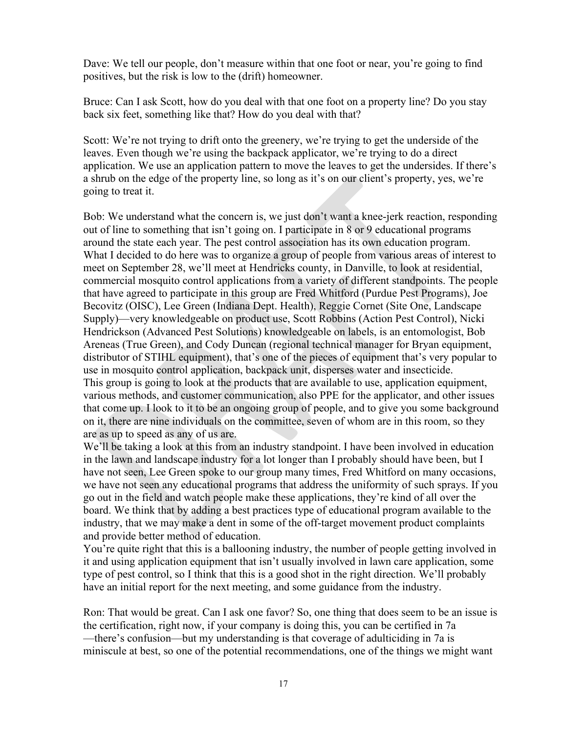Dave: We tell our people, don't measure within that one foot or near, you're going to find positives, but the risk is low to the (drift) homeowner.

Bruce: Can I ask Scott, how do you deal with that one foot on a property line? Do you stay back six feet, something like that? How do you deal with that?

Scott: We're not trying to drift onto the greenery, we're trying to get the underside of the leaves. Even though we're using the backpack applicator, we're trying to do a direct application. We use an application pattern to move the leaves to get the undersides. If there's a shrub on the edge of the property line, so long as it's on our client's property, yes, we're going to treat it.

Bob: We understand what the concern is, we just don't want a knee-jerk reaction, responding out of line to something that isn't going on. I participate in 8 or 9 educational programs around the state each year. The pest control association has its own education program. What I decided to do here was to organize a group of people from various areas of interest to meet on September 28, we'll meet at Hendricks county, in Danville, to look at residential, commercial mosquito control applications from a variety of different standpoints. The people that have agreed to participate in this group are Fred Whitford (Purdue Pest Programs), Joe Becovitz (OISC), Lee Green (Indiana Dept. Health), Reggie Cornet (Site One, Landscape Supply)—very knowledgeable on product use, Scott Robbins (Action Pest Control), Nicki Hendrickson (Advanced Pest Solutions) knowledgeable on labels, is an entomologist, Bob Areneas (True Green), and Cody Duncan (regional technical manager for Bryan equipment, distributor of STIHL equipment), that's one of the pieces of equipment that's very popular to use in mosquito control application, backpack unit, disperses water and insecticide. This group is going to look at the products that are available to use, application equipment, various methods, and customer communication, also PPE for the applicator, and other issues that come up. I look to it to be an ongoing group of people, and to give you some background on it, there are nine individuals on the committee, seven of whom are in this room, so they are as up to speed as any of us are.

We'll be taking a look at this from an industry standpoint. I have been involved in education in the lawn and landscape industry for a lot longer than I probably should have been, but I have not seen, Lee Green spoke to our group many times, Fred Whitford on many occasions, we have not seen any educational programs that address the uniformity of such sprays. If you go out in the field and watch people make these applications, they're kind of all over the board. We think that by adding a best practices type of educational program available to the industry, that we may make a dent in some of the off-target movement product complaints and provide better method of education.

You're quite right that this is a ballooning industry, the number of people getting involved in it and using application equipment that isn't usually involved in lawn care application, some type of pest control, so I think that this is a good shot in the right direction. We'll probably have an initial report for the next meeting, and some guidance from the industry.

Ron: That would be great. Can I ask one favor? So, one thing that does seem to be an issue is the certification, right now, if your company is doing this, you can be certified in 7a —there's confusion—but my understanding is that coverage of adulticiding in 7a is miniscule at best, so one of the potential recommendations, one of the things we might want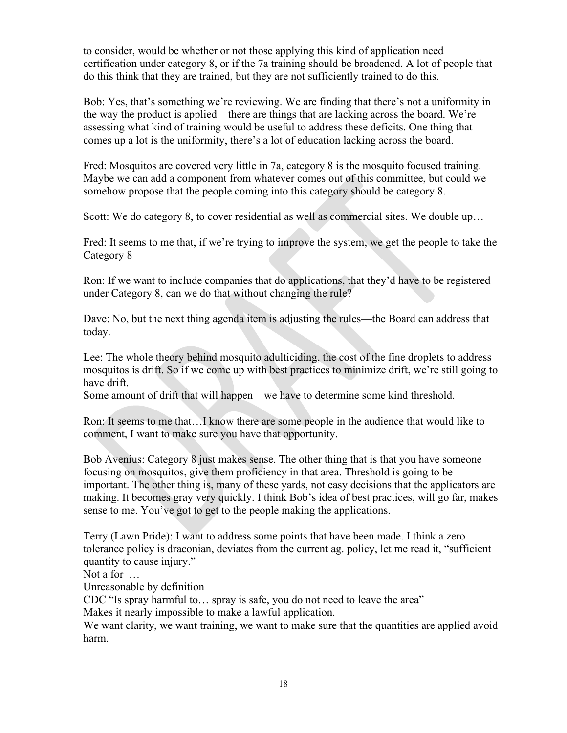to consider, would be whether or not those applying this kind of application need certification under category 8, or if the 7a training should be broadened. A lot of people that do this think that they are trained, but they are not sufficiently trained to do this.

Bob: Yes, that's something we're reviewing. We are finding that there's not a uniformity in the way the product is applied—there are things that are lacking across the board. We're assessing what kind of training would be useful to address these deficits. One thing that comes up a lot is the uniformity, there's a lot of education lacking across the board.

Fred: Mosquitos are covered very little in 7a, category 8 is the mosquito focused training. Maybe we can add a component from whatever comes out of this committee, but could we somehow propose that the people coming into this category should be category 8.

Scott: We do category 8, to cover residential as well as commercial sites. We double up…

Fred: It seems to me that, if we're trying to improve the system, we get the people to take the Category 8

Ron: If we want to include companies that do applications, that they'd have to be registered under Category 8, can we do that without changing the rule?

Dave: No, but the next thing agenda item is adjusting the rules—the Board can address that today.

Lee: The whole theory behind mosquito adulticiding, the cost of the fine droplets to address mosquitos is drift. So if we come up with best practices to minimize drift, we're still going to have drift.

Some amount of drift that will happen—we have to determine some kind threshold.

Ron: It seems to me that…I know there are some people in the audience that would like to comment, I want to make sure you have that opportunity.

Bob Avenius: Category 8 just makes sense. The other thing that is that you have someone focusing on mosquitos, give them proficiency in that area. Threshold is going to be important. The other thing is, many of these yards, not easy decisions that the applicators are making. It becomes gray very quickly. I think Bob's idea of best practices, will go far, makes sense to me. You've got to get to the people making the applications.

Terry (Lawn Pride): I want to address some points that have been made. I think a zero tolerance policy is draconian, deviates from the current ag. policy, let me read it, "sufficient quantity to cause injury."

Not a for …

Unreasonable by definition

CDC "Is spray harmful to… spray is safe, you do not need to leave the area"

Makes it nearly impossible to make a lawful application.

We want clarity, we want training, we want to make sure that the quantities are applied avoid harm.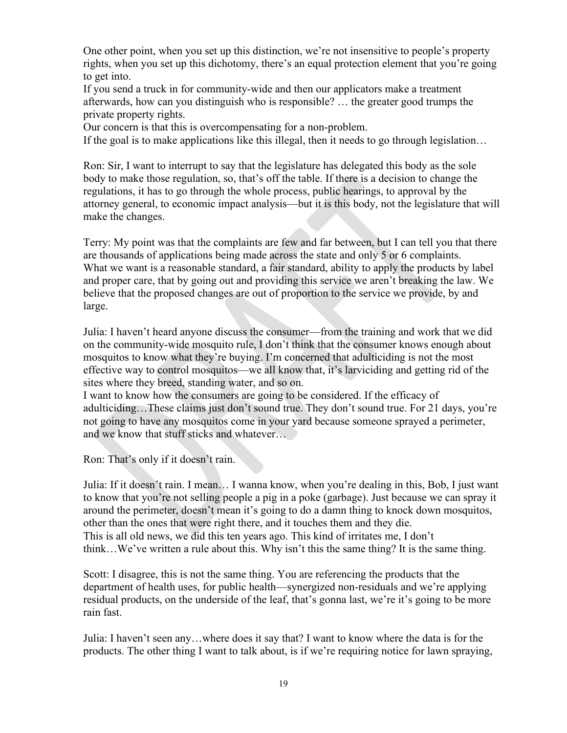One other point, when you set up this distinction, we're not insensitive to people's property rights, when you set up this dichotomy, there's an equal protection element that you're going to get into.

If you send a truck in for community-wide and then our applicators make a treatment afterwards, how can you distinguish who is responsible? … the greater good trumps the private property rights.

Our concern is that this is overcompensating for a non-problem.

If the goal is to make applications like this illegal, then it needs to go through legislation…

Ron: Sir, I want to interrupt to say that the legislature has delegated this body as the sole body to make those regulation, so, that's off the table. If there is a decision to change the regulations, it has to go through the whole process, public hearings, to approval by the attorney general, to economic impact analysis—but it is this body, not the legislature that will make the changes.

Terry: My point was that the complaints are few and far between, but I can tell you that there are thousands of applications being made across the state and only 5 or 6 complaints. What we want is a reasonable standard, a fair standard, ability to apply the products by label and proper care, that by going out and providing this service we aren't breaking the law. We believe that the proposed changes are out of proportion to the service we provide, by and large.

Julia: I haven't heard anyone discuss the consumer—from the training and work that we did on the community-wide mosquito rule, I don't think that the consumer knows enough about mosquitos to know what they're buying. I'm concerned that adulticiding is not the most effective way to control mosquitos—we all know that, it's larviciding and getting rid of the sites where they breed, standing water, and so on.

I want to know how the consumers are going to be considered. If the efficacy of adulticiding…These claims just don't sound true. They don't sound true. For 21 days, you're not going to have any mosquitos come in your yard because someone sprayed a perimeter, and we know that stuff sticks and whatever…

Ron: That's only if it doesn't rain.

Julia: If it doesn't rain. I mean… I wanna know, when you're dealing in this, Bob, I just want to know that you're not selling people a pig in a poke (garbage). Just because we can spray it around the perimeter, doesn't mean it's going to do a damn thing to knock down mosquitos, other than the ones that were right there, and it touches them and they die. This is all old news, we did this ten years ago. This kind of irritates me, I don't think…We've written a rule about this. Why isn't this the same thing? It is the same thing.

Scott: I disagree, this is not the same thing. You are referencing the products that the department of health uses, for public health—synergized non-residuals and we're applying residual products, on the underside of the leaf, that's gonna last, we're it's going to be more rain fast.

Julia: I haven't seen any…where does it say that? I want to know where the data is for the products. The other thing I want to talk about, is if we're requiring notice for lawn spraying,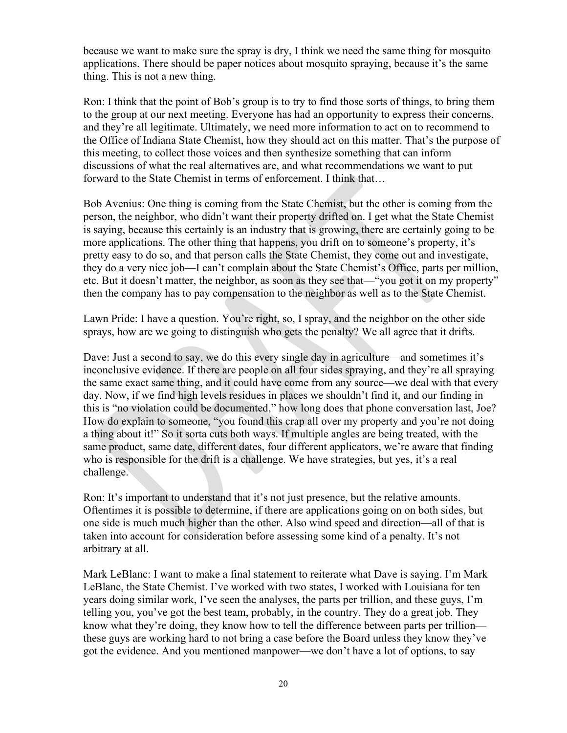because we want to make sure the spray is dry, I think we need the same thing for mosquito applications. There should be paper notices about mosquito spraying, because it's the same thing. This is not a new thing.

Ron: I think that the point of Bob's group is to try to find those sorts of things, to bring them to the group at our next meeting. Everyone has had an opportunity to express their concerns, and they're all legitimate. Ultimately, we need more information to act on to recommend to the Office of Indiana State Chemist, how they should act on this matter. That's the purpose of this meeting, to collect those voices and then synthesize something that can inform discussions of what the real alternatives are, and what recommendations we want to put forward to the State Chemist in terms of enforcement. I think that...

Bob Avenius: One thing is coming from the State Chemist, but the other is coming from the person, the neighbor, who didn't want their property drifted on. I get what the State Chemist is saying, because this certainly is an industry that is growing, there are certainly going to be more applications. The other thing that happens, you drift on to someone's property, it's pretty easy to do so, and that person calls the State Chemist, they come out and investigate, they do a very nice job—I can't complain about the State Chemist's Office, parts per million, etc. But it doesn't matter, the neighbor, as soon as they see that—"you got it on my property" then the company has to pay compensation to the neighbor as well as to the State Chemist.

Lawn Pride: I have a question. You're right, so, I spray, and the neighbor on the other side sprays, how are we going to distinguish who gets the penalty? We all agree that it drifts.

Dave: Just a second to say, we do this every single day in agriculture—and sometimes it's inconclusive evidence. If there are people on all four sides spraying, and they're all spraying the same exact same thing, and it could have come from any source—we deal with that every day. Now, if we find high levels residues in places we shouldn't find it, and our finding in this is "no violation could be documented," how long does that phone conversation last, Joe? How do explain to someone, "you found this crap all over my property and you're not doing a thing about it!" So it sorta cuts both ways. If multiple angles are being treated, with the same product, same date, different dates, four different applicators, we're aware that finding who is responsible for the drift is a challenge. We have strategies, but yes, it's a real challenge.

Ron: It's important to understand that it's not just presence, but the relative amounts. Oftentimes it is possible to determine, if there are applications going on on both sides, but one side is much much higher than the other. Also wind speed and direction—all of that is taken into account for consideration before assessing some kind of a penalty. It's not arbitrary at all.

Mark LeBlanc: I want to make a final statement to reiterate what Dave is saying. I'm Mark LeBlanc, the State Chemist. I've worked with two states, I worked with Louisiana for ten years doing similar work, I've seen the analyses, the parts per trillion, and these guys, I'm telling you, you've got the best team, probably, in the country. They do a great job. They know what they're doing, they know how to tell the difference between parts per trillion these guys are working hard to not bring a case before the Board unless they know they've got the evidence. And you mentioned manpower—we don't have a lot of options, to say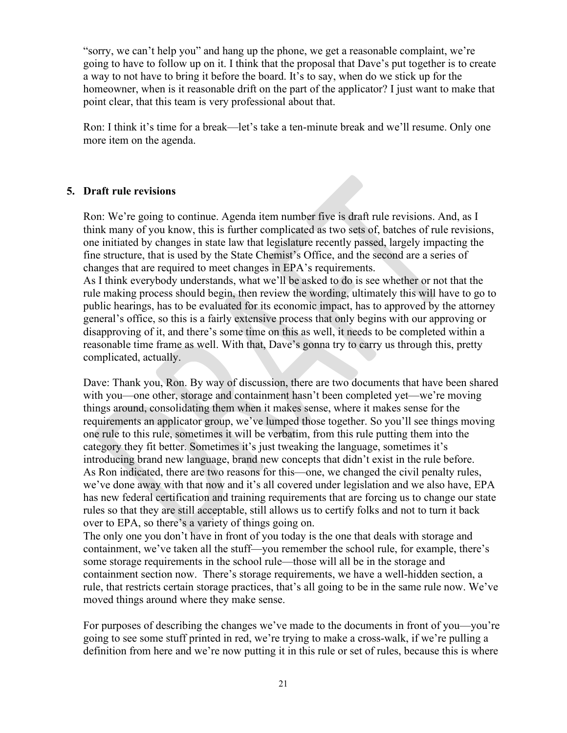"sorry, we can't help you" and hang up the phone, we get a reasonable complaint, we're going to have to follow up on it. I think that the proposal that Dave's put together is to create a way to not have to bring it before the board. It's to say, when do we stick up for the homeowner, when is it reasonable drift on the part of the applicator? I just want to make that point clear, that this team is very professional about that.

Ron: I think it's time for a break—let's take a ten-minute break and we'll resume. Only one more item on the agenda.

#### **5. Draft rule revisions**

Ron: We're going to continue. Agenda item number five is draft rule revisions. And, as I think many of you know, this is further complicated as two sets of, batches of rule revisions, one initiated by changes in state law that legislature recently passed, largely impacting the fine structure, that is used by the State Chemist's Office, and the second are a series of changes that are required to meet changes in EPA's requirements.

As I think everybody understands, what we'll be asked to do is see whether or not that the rule making process should begin, then review the wording, ultimately this will have to go to public hearings, has to be evaluated for its economic impact, has to approved by the attorney general's office, so this is a fairly extensive process that only begins with our approving or disapproving of it, and there's some time on this as well, it needs to be completed within a reasonable time frame as well. With that, Dave's gonna try to carry us through this, pretty complicated, actually.

Dave: Thank you, Ron. By way of discussion, there are two documents that have been shared with you—one other, storage and containment hasn't been completed yet—we're moving things around, consolidating them when it makes sense, where it makes sense for the requirements an applicator group, we've lumped those together. So you'll see things moving one rule to this rule, sometimes it will be verbatim, from this rule putting them into the category they fit better. Sometimes it's just tweaking the language, sometimes it's introducing brand new language, brand new concepts that didn't exist in the rule before. As Ron indicated, there are two reasons for this—one, we changed the civil penalty rules, we've done away with that now and it's all covered under legislation and we also have, EPA has new federal certification and training requirements that are forcing us to change our state rules so that they are still acceptable, still allows us to certify folks and not to turn it back over to EPA, so there's a variety of things going on.

The only one you don't have in front of you today is the one that deals with storage and containment, we've taken all the stuff—you remember the school rule, for example, there's some storage requirements in the school rule—those will all be in the storage and containment section now. There's storage requirements, we have a well-hidden section, a rule, that restricts certain storage practices, that's all going to be in the same rule now. We've moved things around where they make sense.

For purposes of describing the changes we've made to the documents in front of you—you're going to see some stuff printed in red, we're trying to make a cross-walk, if we're pulling a definition from here and we're now putting it in this rule or set of rules, because this is where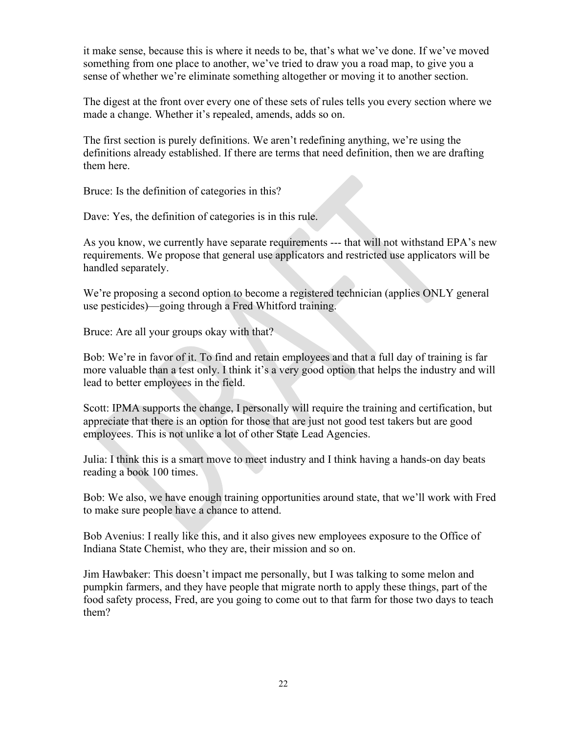it make sense, because this is where it needs to be, that's what we've done. If we've moved something from one place to another, we've tried to draw you a road map, to give you a sense of whether we're eliminate something altogether or moving it to another section.

The digest at the front over every one of these sets of rules tells you every section where we made a change. Whether it's repealed, amends, adds so on.

The first section is purely definitions. We aren't redefining anything, we're using the definitions already established. If there are terms that need definition, then we are drafting them here.

Bruce: Is the definition of categories in this?

Dave: Yes, the definition of categories is in this rule.

As you know, we currently have separate requirements --- that will not withstand EPA's new requirements. We propose that general use applicators and restricted use applicators will be handled separately.

We're proposing a second option to become a registered technician (applies ONLY general use pesticides)—going through a Fred Whitford training.

Bruce: Are all your groups okay with that?

Bob: We're in favor of it. To find and retain employees and that a full day of training is far more valuable than a test only. I think it's a very good option that helps the industry and will lead to better employees in the field.

Scott: IPMA supports the change, I personally will require the training and certification, but appreciate that there is an option for those that are just not good test takers but are good employees. This is not unlike a lot of other State Lead Agencies.

Julia: I think this is a smart move to meet industry and I think having a hands-on day beats reading a book 100 times.

Bob: We also, we have enough training opportunities around state, that we'll work with Fred to make sure people have a chance to attend.

Bob Avenius: I really like this, and it also gives new employees exposure to the Office of Indiana State Chemist, who they are, their mission and so on.

Jim Hawbaker: This doesn't impact me personally, but I was talking to some melon and pumpkin farmers, and they have people that migrate north to apply these things, part of the food safety process, Fred, are you going to come out to that farm for those two days to teach them?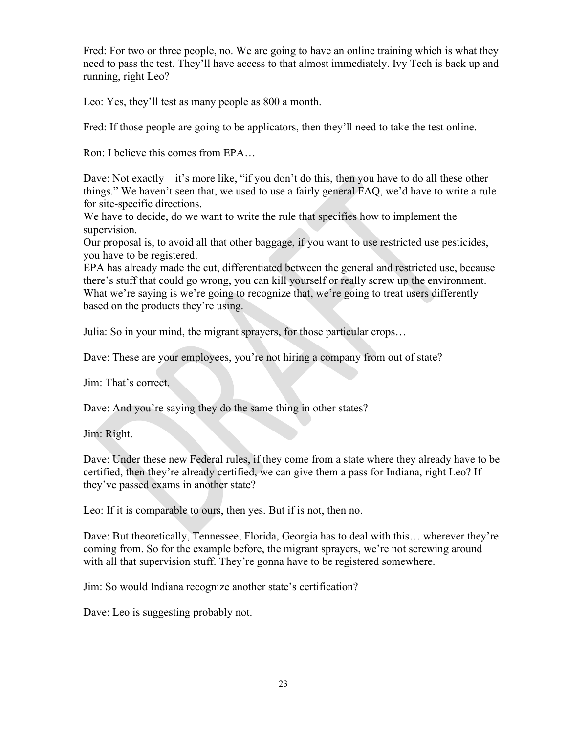Fred: For two or three people, no. We are going to have an online training which is what they need to pass the test. They'll have access to that almost immediately. Ivy Tech is back up and running, right Leo?

Leo: Yes, they'll test as many people as 800 a month.

Fred: If those people are going to be applicators, then they'll need to take the test online.

Ron: I believe this comes from EPA…

Dave: Not exactly—it's more like, "if you don't do this, then you have to do all these other things." We haven't seen that, we used to use a fairly general FAQ, we'd have to write a rule for site-specific directions.

We have to decide, do we want to write the rule that specifies how to implement the supervision.

Our proposal is, to avoid all that other baggage, if you want to use restricted use pesticides, you have to be registered.

EPA has already made the cut, differentiated between the general and restricted use, because there's stuff that could go wrong, you can kill yourself or really screw up the environment. What we're saying is we're going to recognize that, we're going to treat users differently based on the products they're using.

Julia: So in your mind, the migrant sprayers, for those particular crops…

Dave: These are your employees, you're not hiring a company from out of state?

Jim: That's correct.

Dave: And you're saying they do the same thing in other states?

Jim: Right.

Dave: Under these new Federal rules, if they come from a state where they already have to be certified, then they're already certified, we can give them a pass for Indiana, right Leo? If they've passed exams in another state?

Leo: If it is comparable to ours, then yes. But if is not, then no.

Dave: But theoretically, Tennessee, Florida, Georgia has to deal with this… wherever they're coming from. So for the example before, the migrant sprayers, we're not screwing around with all that supervision stuff. They're gonna have to be registered somewhere.

Jim: So would Indiana recognize another state's certification?

Dave: Leo is suggesting probably not.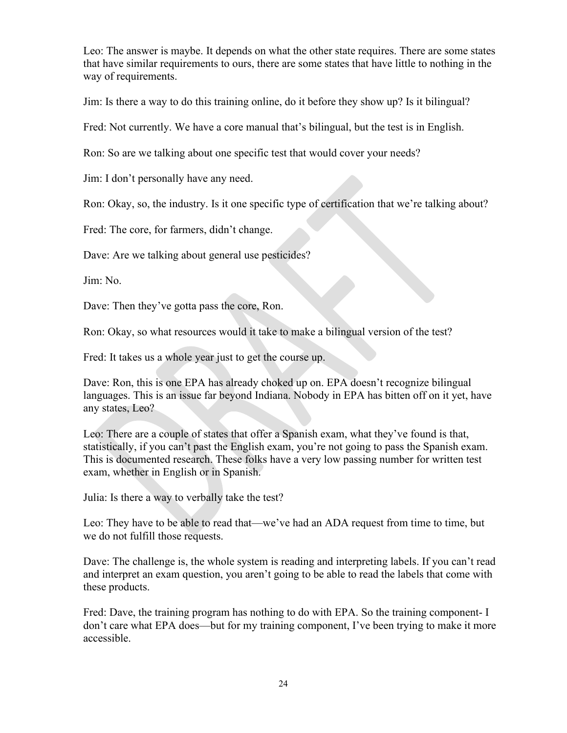Leo: The answer is maybe. It depends on what the other state requires. There are some states that have similar requirements to ours, there are some states that have little to nothing in the way of requirements.

Jim: Is there a way to do this training online, do it before they show up? Is it bilingual?

Fred: Not currently. We have a core manual that's bilingual, but the test is in English.

Ron: So are we talking about one specific test that would cover your needs?

Jim: I don't personally have any need.

Ron: Okay, so, the industry. Is it one specific type of certification that we're talking about?

Fred: The core, for farmers, didn't change.

Dave: Are we talking about general use pesticides?

Jim: No.

Dave: Then they've gotta pass the core, Ron.

Ron: Okay, so what resources would it take to make a bilingual version of the test?

Fred: It takes us a whole year just to get the course up.

Dave: Ron, this is one EPA has already choked up on. EPA doesn't recognize bilingual languages. This is an issue far beyond Indiana. Nobody in EPA has bitten off on it yet, have any states, Leo?

Leo: There are a couple of states that offer a Spanish exam, what they've found is that, statistically, if you can't past the English exam, you're not going to pass the Spanish exam. This is documented research. These folks have a very low passing number for written test exam, whether in English or in Spanish.

Julia: Is there a way to verbally take the test?

Leo: They have to be able to read that—we've had an ADA request from time to time, but we do not fulfill those requests.

Dave: The challenge is, the whole system is reading and interpreting labels. If you can't read and interpret an exam question, you aren't going to be able to read the labels that come with these products.

Fred: Dave, the training program has nothing to do with EPA. So the training component- I don't care what EPA does—but for my training component, I've been trying to make it more accessible.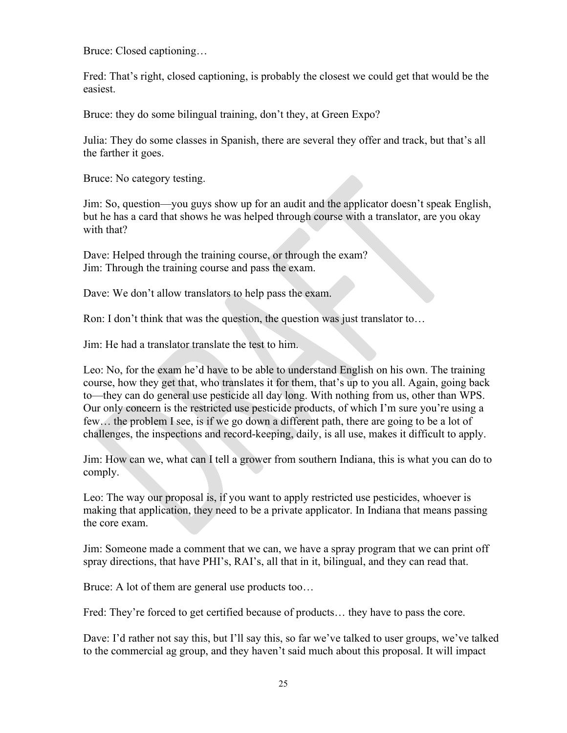Bruce: Closed captioning…

Fred: That's right, closed captioning, is probably the closest we could get that would be the easiest.

Bruce: they do some bilingual training, don't they, at Green Expo?

Julia: They do some classes in Spanish, there are several they offer and track, but that's all the farther it goes.

Bruce: No category testing.

Jim: So, question—you guys show up for an audit and the applicator doesn't speak English, but he has a card that shows he was helped through course with a translator, are you okay with that?

Dave: Helped through the training course, or through the exam? Jim: Through the training course and pass the exam.

Dave: We don't allow translators to help pass the exam.

Ron: I don't think that was the question, the question was just translator to…

Jim: He had a translator translate the test to him.

Leo: No, for the exam he'd have to be able to understand English on his own. The training course, how they get that, who translates it for them, that's up to you all. Again, going back to—they can do general use pesticide all day long. With nothing from us, other than WPS. Our only concern is the restricted use pesticide products, of which I'm sure you're using a few… the problem I see, is if we go down a different path, there are going to be a lot of challenges, the inspections and record-keeping, daily, is all use, makes it difficult to apply.

Jim: How can we, what can I tell a grower from southern Indiana, this is what you can do to comply.

Leo: The way our proposal is, if you want to apply restricted use pesticides, whoever is making that application, they need to be a private applicator. In Indiana that means passing the core exam.

Jim: Someone made a comment that we can, we have a spray program that we can print off spray directions, that have PHI's, RAI's, all that in it, bilingual, and they can read that.

Bruce: A lot of them are general use products too…

Fred: They're forced to get certified because of products... they have to pass the core.

Dave: I'd rather not say this, but I'll say this, so far we've talked to user groups, we've talked to the commercial ag group, and they haven't said much about this proposal. It will impact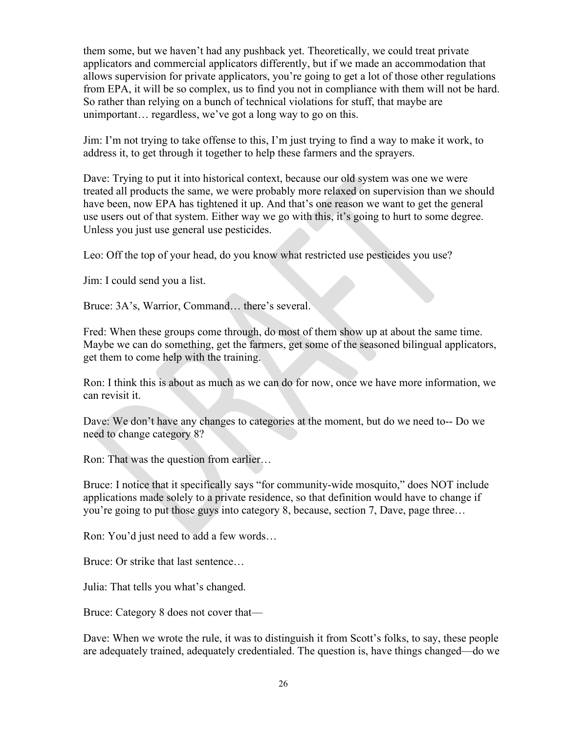them some, but we haven't had any pushback yet. Theoretically, we could treat private applicators and commercial applicators differently, but if we made an accommodation that allows supervision for private applicators, you're going to get a lot of those other regulations from EPA, it will be so complex, us to find you not in compliance with them will not be hard. So rather than relying on a bunch of technical violations for stuff, that maybe are unimportant… regardless, we've got a long way to go on this.

Jim: I'm not trying to take offense to this, I'm just trying to find a way to make it work, to address it, to get through it together to help these farmers and the sprayers.

Dave: Trying to put it into historical context, because our old system was one we were treated all products the same, we were probably more relaxed on supervision than we should have been, now EPA has tightened it up. And that's one reason we want to get the general use users out of that system. Either way we go with this, it's going to hurt to some degree. Unless you just use general use pesticides.

Leo: Off the top of your head, do you know what restricted use pesticides you use?

Jim: I could send you a list.

Bruce: 3A's, Warrior, Command… there's several.

Fred: When these groups come through, do most of them show up at about the same time. Maybe we can do something, get the farmers, get some of the seasoned bilingual applicators, get them to come help with the training.

Ron: I think this is about as much as we can do for now, once we have more information, we can revisit it.

Dave: We don't have any changes to categories at the moment, but do we need to-- Do we need to change category 8?

Ron: That was the question from earlier…

Bruce: I notice that it specifically says "for community-wide mosquito," does NOT include applications made solely to a private residence, so that definition would have to change if you're going to put those guys into category 8, because, section 7, Dave, page three…

Ron: You'd just need to add a few words…

Bruce: Or strike that last sentence…

Julia: That tells you what's changed.

Bruce: Category 8 does not cover that—

Dave: When we wrote the rule, it was to distinguish it from Scott's folks, to say, these people are adequately trained, adequately credentialed. The question is, have things changed—do we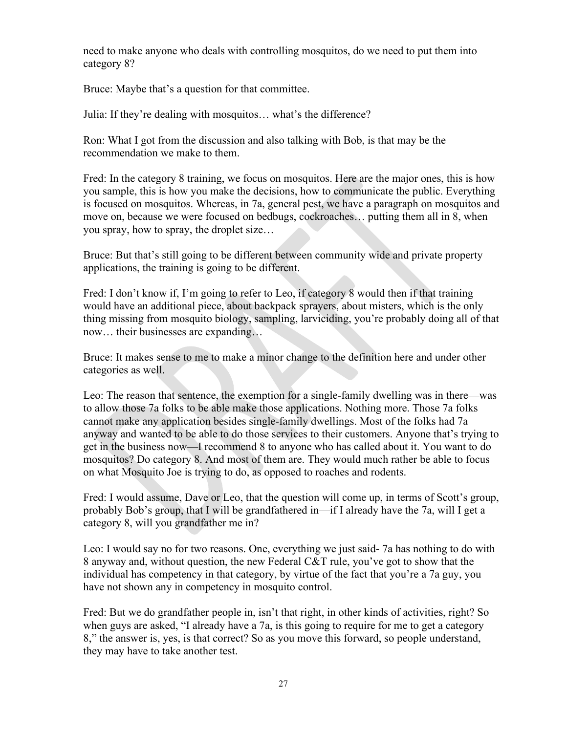need to make anyone who deals with controlling mosquitos, do we need to put them into category 8?

Bruce: Maybe that's a question for that committee.

Julia: If they're dealing with mosquitos… what's the difference?

Ron: What I got from the discussion and also talking with Bob, is that may be the recommendation we make to them.

Fred: In the category 8 training, we focus on mosquitos. Here are the major ones, this is how you sample, this is how you make the decisions, how to communicate the public. Everything is focused on mosquitos. Whereas, in 7a, general pest, we have a paragraph on mosquitos and move on, because we were focused on bedbugs, cockroaches… putting them all in 8, when you spray, how to spray, the droplet size…

Bruce: But that's still going to be different between community wide and private property applications, the training is going to be different.

Fred: I don't know if, I'm going to refer to Leo, if category 8 would then if that training would have an additional piece, about backpack sprayers, about misters, which is the only thing missing from mosquito biology, sampling, larviciding, you're probably doing all of that now… their businesses are expanding…

Bruce: It makes sense to me to make a minor change to the definition here and under other categories as well.

Leo: The reason that sentence, the exemption for a single-family dwelling was in there—was to allow those 7a folks to be able make those applications. Nothing more. Those 7a folks cannot make any application besides single-family dwellings. Most of the folks had 7a anyway and wanted to be able to do those services to their customers. Anyone that's trying to get in the business now—I recommend 8 to anyone who has called about it. You want to do mosquitos? Do category 8. And most of them are. They would much rather be able to focus on what Mosquito Joe is trying to do, as opposed to roaches and rodents.

Fred: I would assume, Dave or Leo, that the question will come up, in terms of Scott's group, probably Bob's group, that I will be grandfathered in—if I already have the 7a, will I get a category 8, will you grandfather me in?

Leo: I would say no for two reasons. One, everything we just said- 7a has nothing to do with 8 anyway and, without question, the new Federal C&T rule, you've got to show that the individual has competency in that category, by virtue of the fact that you're a 7a guy, you have not shown any in competency in mosquito control.

Fred: But we do grandfather people in, isn't that right, in other kinds of activities, right? So when guys are asked, "I already have a 7a, is this going to require for me to get a category 8," the answer is, yes, is that correct? So as you move this forward, so people understand, they may have to take another test.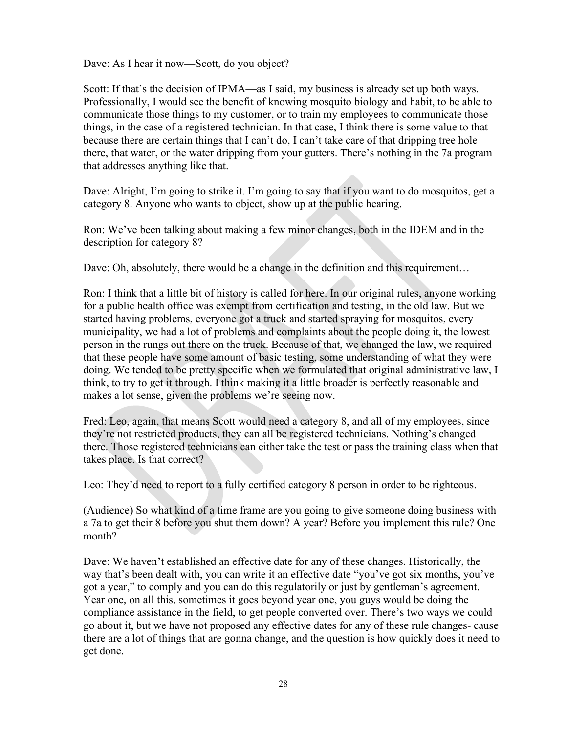Dave: As I hear it now—Scott, do you object?

Scott: If that's the decision of IPMA—as I said, my business is already set up both ways. Professionally, I would see the benefit of knowing mosquito biology and habit, to be able to communicate those things to my customer, or to train my employees to communicate those things, in the case of a registered technician. In that case, I think there is some value to that because there are certain things that I can't do, I can't take care of that dripping tree hole there, that water, or the water dripping from your gutters. There's nothing in the 7a program that addresses anything like that.

Dave: Alright, I'm going to strike it. I'm going to say that if you want to do mosquitos, get a category 8. Anyone who wants to object, show up at the public hearing.

Ron: We've been talking about making a few minor changes, both in the IDEM and in the description for category 8?

Dave: Oh, absolutely, there would be a change in the definition and this requirement...

Ron: I think that a little bit of history is called for here. In our original rules, anyone working for a public health office was exempt from certification and testing, in the old law. But we started having problems, everyone got a truck and started spraying for mosquitos, every municipality, we had a lot of problems and complaints about the people doing it, the lowest person in the rungs out there on the truck. Because of that, we changed the law, we required that these people have some amount of basic testing, some understanding of what they were doing. We tended to be pretty specific when we formulated that original administrative law, I think, to try to get it through. I think making it a little broader is perfectly reasonable and makes a lot sense, given the problems we're seeing now.

Fred: Leo, again, that means Scott would need a category 8, and all of my employees, since they're not restricted products, they can all be registered technicians. Nothing's changed there. Those registered technicians can either take the test or pass the training class when that takes place. Is that correct?

Leo: They'd need to report to a fully certified category 8 person in order to be righteous.

(Audience) So what kind of a time frame are you going to give someone doing business with a 7a to get their 8 before you shut them down? A year? Before you implement this rule? One month?

Dave: We haven't established an effective date for any of these changes. Historically, the way that's been dealt with, you can write it an effective date "you've got six months, you've got a year," to comply and you can do this regulatorily or just by gentleman's agreement. Year one, on all this, sometimes it goes beyond year one, you guys would be doing the compliance assistance in the field, to get people converted over. There's two ways we could go about it, but we have not proposed any effective dates for any of these rule changes- cause there are a lot of things that are gonna change, and the question is how quickly does it need to get done.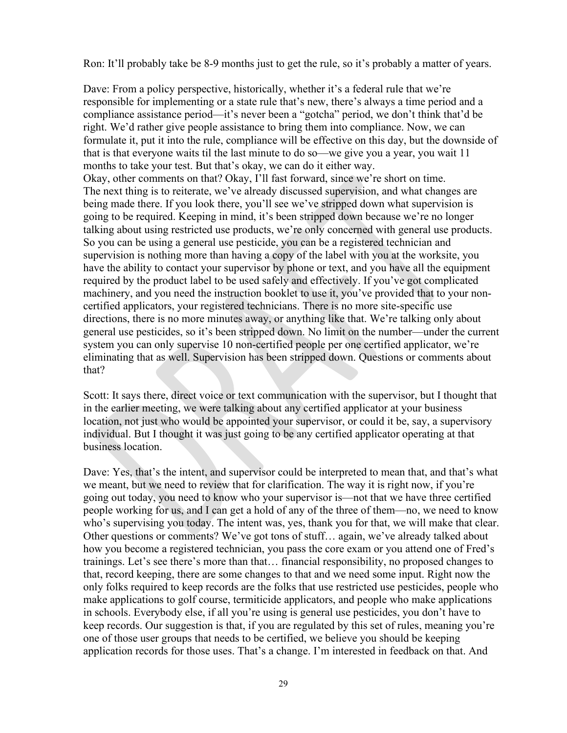Ron: It'll probably take be 8-9 months just to get the rule, so it's probably a matter of years.

Dave: From a policy perspective, historically, whether it's a federal rule that we're responsible for implementing or a state rule that's new, there's always a time period and a compliance assistance period—it's never been a "gotcha" period, we don't think that'd be right. We'd rather give people assistance to bring them into compliance. Now, we can formulate it, put it into the rule, compliance will be effective on this day, but the downside of that is that everyone waits til the last minute to do so—we give you a year, you wait 11 months to take your test. But that's okay, we can do it either way. Okay, other comments on that? Okay, I'll fast forward, since we're short on time. The next thing is to reiterate, we've already discussed supervision, and what changes are being made there. If you look there, you'll see we've stripped down what supervision is going to be required. Keeping in mind, it's been stripped down because we're no longer talking about using restricted use products, we're only concerned with general use products. So you can be using a general use pesticide, you can be a registered technician and supervision is nothing more than having a copy of the label with you at the worksite, you have the ability to contact your supervisor by phone or text, and you have all the equipment required by the product label to be used safely and effectively. If you've got complicated machinery, and you need the instruction booklet to use it, you've provided that to your noncertified applicators, your registered technicians. There is no more site-specific use directions, there is no more minutes away, or anything like that. We're talking only about general use pesticides, so it's been stripped down. No limit on the number—under the current system you can only supervise 10 non-certified people per one certified applicator, we're eliminating that as well. Supervision has been stripped down. Questions or comments about that?

Scott: It says there, direct voice or text communication with the supervisor, but I thought that in the earlier meeting, we were talking about any certified applicator at your business location, not just who would be appointed your supervisor, or could it be, say, a supervisory individual. But I thought it was just going to be any certified applicator operating at that business location.

Dave: Yes, that's the intent, and supervisor could be interpreted to mean that, and that's what we meant, but we need to review that for clarification. The way it is right now, if you're going out today, you need to know who your supervisor is—not that we have three certified people working for us, and I can get a hold of any of the three of them—no, we need to know who's supervising you today. The intent was, yes, thank you for that, we will make that clear. Other questions or comments? We've got tons of stuff… again, we've already talked about how you become a registered technician, you pass the core exam or you attend one of Fred's trainings. Let's see there's more than that… financial responsibility, no proposed changes to that, record keeping, there are some changes to that and we need some input. Right now the only folks required to keep records are the folks that use restricted use pesticides, people who make applications to golf course, termiticide applicators, and people who make applications in schools. Everybody else, if all you're using is general use pesticides, you don't have to keep records. Our suggestion is that, if you are regulated by this set of rules, meaning you're one of those user groups that needs to be certified, we believe you should be keeping application records for those uses. That's a change. I'm interested in feedback on that. And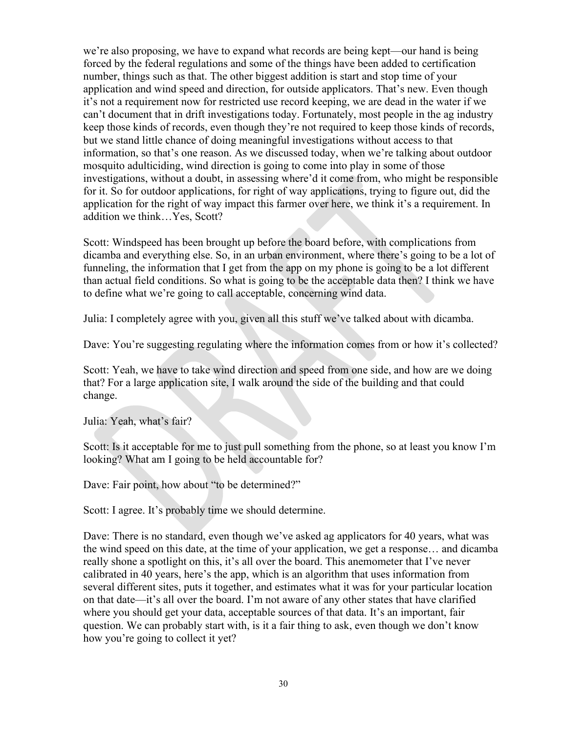we're also proposing, we have to expand what records are being kept—our hand is being forced by the federal regulations and some of the things have been added to certification number, things such as that. The other biggest addition is start and stop time of your application and wind speed and direction, for outside applicators. That's new. Even though it's not a requirement now for restricted use record keeping, we are dead in the water if we can't document that in drift investigations today. Fortunately, most people in the ag industry keep those kinds of records, even though they're not required to keep those kinds of records, but we stand little chance of doing meaningful investigations without access to that information, so that's one reason. As we discussed today, when we're talking about outdoor mosquito adulticiding, wind direction is going to come into play in some of those investigations, without a doubt, in assessing where'd it come from, who might be responsible for it. So for outdoor applications, for right of way applications, trying to figure out, did the application for the right of way impact this farmer over here, we think it's a requirement. In addition we think…Yes, Scott?

Scott: Windspeed has been brought up before the board before, with complications from dicamba and everything else. So, in an urban environment, where there's going to be a lot of funneling, the information that I get from the app on my phone is going to be a lot different than actual field conditions. So what is going to be the acceptable data then? I think we have to define what we're going to call acceptable, concerning wind data.

Julia: I completely agree with you, given all this stuff we've talked about with dicamba.

Dave: You're suggesting regulating where the information comes from or how it's collected?

Scott: Yeah, we have to take wind direction and speed from one side, and how are we doing that? For a large application site, I walk around the side of the building and that could change.

Julia: Yeah, what's fair?

Scott: Is it acceptable for me to just pull something from the phone, so at least you know I'm looking? What am I going to be held accountable for?

Dave: Fair point, how about "to be determined?"

Scott: I agree. It's probably time we should determine.

Dave: There is no standard, even though we've asked ag applicators for 40 years, what was the wind speed on this date, at the time of your application, we get a response… and dicamba really shone a spotlight on this, it's all over the board. This anemometer that I've never calibrated in 40 years, here's the app, which is an algorithm that uses information from several different sites, puts it together, and estimates what it was for your particular location on that date—it's all over the board. I'm not aware of any other states that have clarified where you should get your data, acceptable sources of that data. It's an important, fair question. We can probably start with, is it a fair thing to ask, even though we don't know how you're going to collect it yet?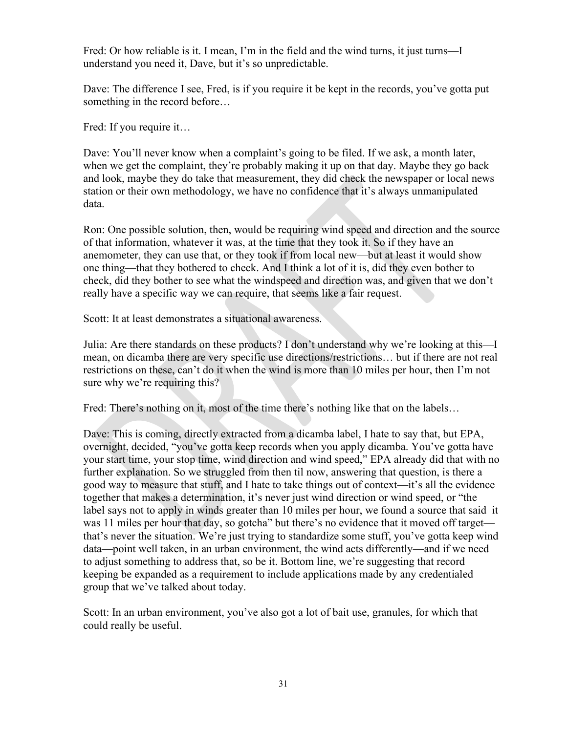Fred: Or how reliable is it. I mean, I'm in the field and the wind turns, it just turns—I understand you need it, Dave, but it's so unpredictable.

Dave: The difference I see, Fred, is if you require it be kept in the records, you've gotta put something in the record before…

Fred: If you require it…

Dave: You'll never know when a complaint's going to be filed. If we ask, a month later, when we get the complaint, they're probably making it up on that day. Maybe they go back and look, maybe they do take that measurement, they did check the newspaper or local news station or their own methodology, we have no confidence that it's always unmanipulated data.

Ron: One possible solution, then, would be requiring wind speed and direction and the source of that information, whatever it was, at the time that they took it. So if they have an anemometer, they can use that, or they took if from local new—but at least it would show one thing—that they bothered to check. And I think a lot of it is, did they even bother to check, did they bother to see what the windspeed and direction was, and given that we don't really have a specific way we can require, that seems like a fair request.

Scott: It at least demonstrates a situational awareness.

Julia: Are there standards on these products? I don't understand why we're looking at this—I mean, on dicamba there are very specific use directions/restrictions… but if there are not real restrictions on these, can't do it when the wind is more than 10 miles per hour, then I'm not sure why we're requiring this?

Fred: There's nothing on it, most of the time there's nothing like that on the labels…

Dave: This is coming, directly extracted from a dicamba label, I hate to say that, but EPA, overnight, decided, "you've gotta keep records when you apply dicamba. You've gotta have your start time, your stop time, wind direction and wind speed," EPA already did that with no further explanation. So we struggled from then til now, answering that question, is there a good way to measure that stuff, and I hate to take things out of context—it's all the evidence together that makes a determination, it's never just wind direction or wind speed, or "the label says not to apply in winds greater than 10 miles per hour, we found a source that said it was 11 miles per hour that day, so gotcha" but there's no evidence that it moved off target that's never the situation. We're just trying to standardize some stuff, you've gotta keep wind data—point well taken, in an urban environment, the wind acts differently—and if we need to adjust something to address that, so be it. Bottom line, we're suggesting that record keeping be expanded as a requirement to include applications made by any credentialed group that we've talked about today.

Scott: In an urban environment, you've also got a lot of bait use, granules, for which that could really be useful.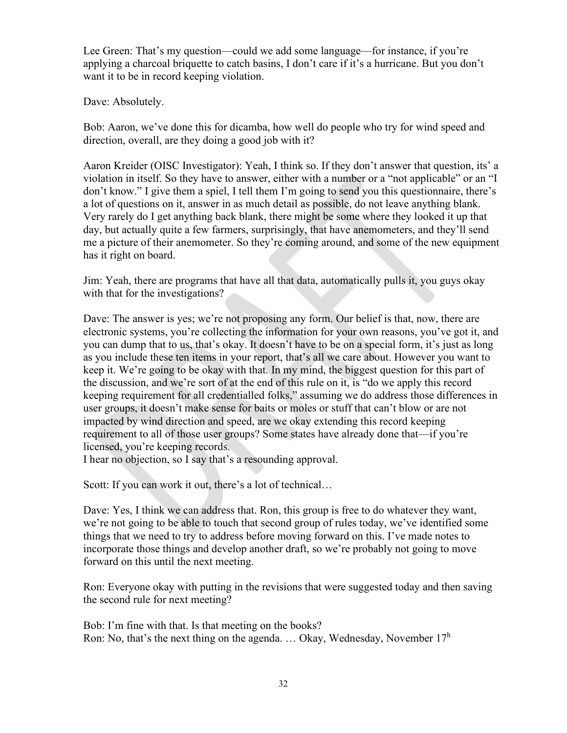Lee Green: That's my question—could we add some language—for instance, if you're applying a charcoal briquette to catch basins, I don't care if it's a hurricane. But you don't want it to be in record keeping violation.

Dave: Absolutely.

Bob: Aaron, we've done this for dicamba, how well do people who try for wind speed and direction, overall, are they doing a good job with it?

Aaron Kreider (OISC Investigator): Yeah, I think so. If they don't answer that question, its' a violation in itself. So they have to answer, either with a number or a "not applicable" or an "I don't know." I give them a spiel, I tell them I'm going to send you this questionnaire, there's a lot of questions on it, answer in as much detail as possible, do not leave anything blank. Very rarely do I get anything back blank, there might be some where they looked it up that day, but actually quite a few farmers, surprisingly, that have anemometers, and they'll send me a picture of their anemometer. So they're coming around, and some of the new equipment has it right on board.

Jim: Yeah, there are programs that have all that data, automatically pulls it, you guys okay with that for the investigations?

Dave: The answer is yes; we're not proposing any form. Our belief is that, now, there are electronic systems, you're collecting the information for your own reasons, you've got it, and you can dump that to us, that's okay. It doesn't have to be on a special form, it's just as long as you include these ten items in your report, that's all we care about. However you want to keep it. We're going to be okay with that. In my mind, the biggest question for this part of the discussion, and we're sort of at the end of this rule on it, is "do we apply this record keeping requirement for all credentialled folks," assuming we do address those differences in user groups, it doesn't make sense for baits or moles or stuff that can't blow or are not impacted by wind direction and speed, are we okay extending this record keeping requirement to all of those user groups? Some states have already done that—if you're licensed, you're keeping records.

I hear no objection, so I say that's a resounding approval.

Scott: If you can work it out, there's a lot of technical…

Dave: Yes, I think we can address that. Ron, this group is free to do whatever they want, we're not going to be able to touch that second group of rules today, we've identified some things that we need to try to address before moving forward on this. I've made notes to incorporate those things and develop another draft, so we're probably not going to move forward on this until the next meeting.

Ron: Everyone okay with putting in the revisions that were suggested today and then saving the second rule for next meeting?

Bob: I'm fine with that. Is that meeting on the books? Ron: No, that's the next thing on the agenda. ... Okay, Wednesday, November  $17<sup>h</sup>$